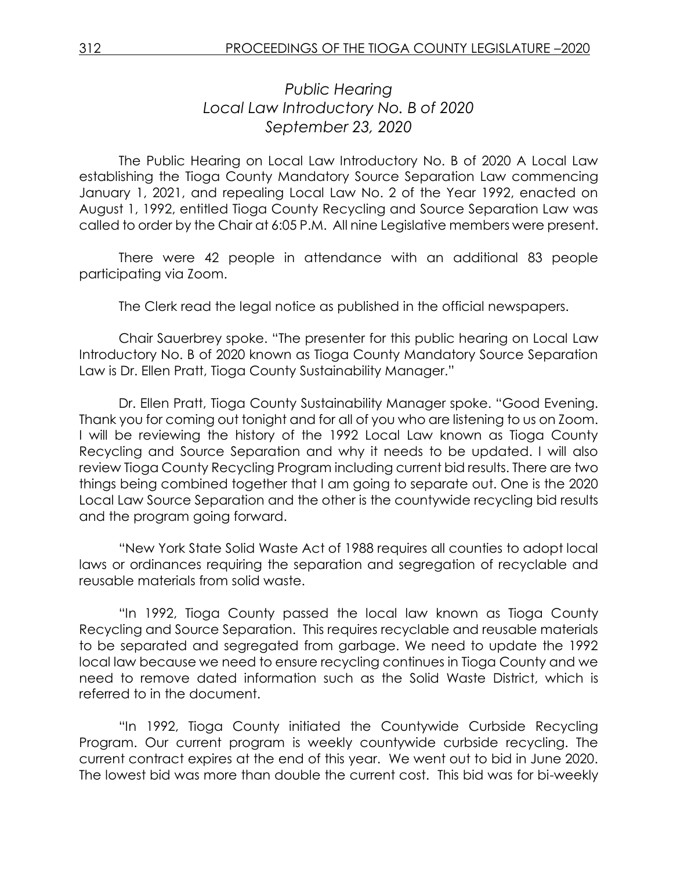# *Public Hearing Local Law Introductory No. B of 2020 September 23, 2020*

The Public Hearing on Local Law Introductory No. B of 2020 A Local Law establishing the Tioga County Mandatory Source Separation Law commencing January 1, 2021, and repealing Local Law No. 2 of the Year 1992, enacted on August 1, 1992, entitled Tioga County Recycling and Source Separation Law was called to order by the Chair at 6:05 P.M. All nine Legislative members were present.

There were 42 people in attendance with an additional 83 people participating via Zoom.

The Clerk read the legal notice as published in the official newspapers.

Chair Sauerbrey spoke. "The presenter for this public hearing on Local Law Introductory No. B of 2020 known as Tioga County Mandatory Source Separation Law is Dr. Ellen Pratt, Tioga County Sustainability Manager."

Dr. Ellen Pratt, Tioga County Sustainability Manager spoke. "Good Evening. Thank you for coming out tonight and for all of you who are listening to us on Zoom. I will be reviewing the history of the 1992 Local Law known as Tioga County Recycling and Source Separation and why it needs to be updated. I will also review Tioga County Recycling Program including current bid results. There are two things being combined together that I am going to separate out. One is the 2020 Local Law Source Separation and the other is the countywide recycling bid results and the program going forward.

"New York State Solid Waste Act of 1988 requires all counties to adopt local laws or ordinances requiring the separation and segregation of recyclable and reusable materials from solid waste.

"In 1992, Tioga County passed the local law known as Tioga County Recycling and Source Separation. This requires recyclable and reusable materials to be separated and segregated from garbage. We need to update the 1992 local law because we need to ensure recycling continues in Tioga County and we need to remove dated information such as the Solid Waste District, which is referred to in the document.

"In 1992, Tioga County initiated the Countywide Curbside Recycling Program. Our current program is weekly countywide curbside recycling. The current contract expires at the end of this year. We went out to bid in June 2020. The lowest bid was more than double the current cost. This bid was for bi-weekly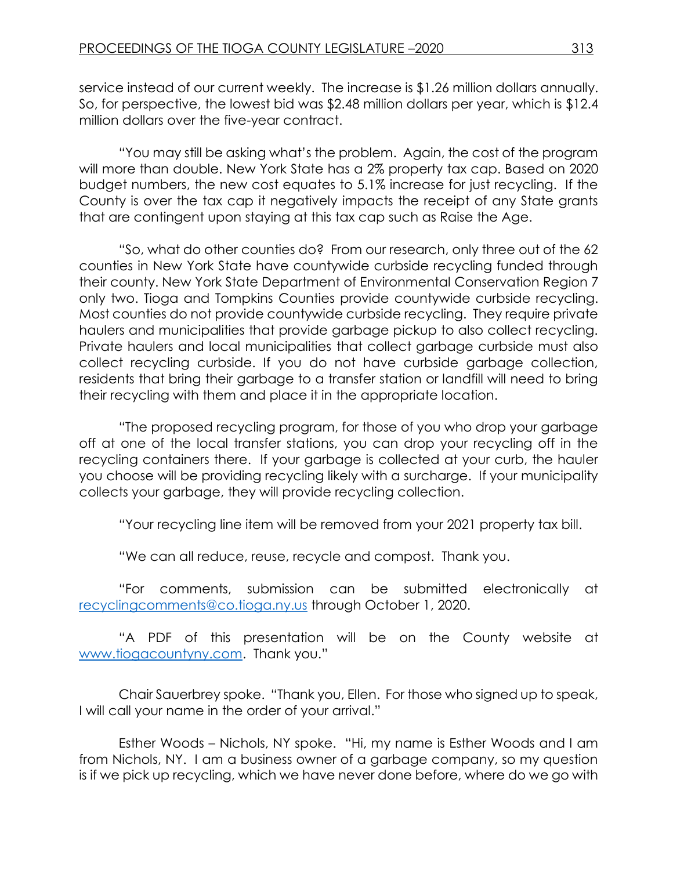service instead of our current weekly. The increase is \$1.26 million dollars annually. So, for perspective, the lowest bid was \$2.48 million dollars per year, which is \$12.4 million dollars over the five-year contract.

"You may still be asking what's the problem. Again, the cost of the program will more than double. New York State has a 2% property tax cap. Based on 2020 budget numbers, the new cost equates to 5.1% increase for just recycling. If the County is over the tax cap it negatively impacts the receipt of any State grants that are contingent upon staying at this tax cap such as Raise the Age.

"So, what do other counties do? From our research, only three out of the 62 counties in New York State have countywide curbside recycling funded through their county. New York State Department of Environmental Conservation Region 7 only two. Tioga and Tompkins Counties provide countywide curbside recycling. Most counties do not provide countywide curbside recycling. They require private haulers and municipalities that provide garbage pickup to also collect recycling. Private haulers and local municipalities that collect garbage curbside must also collect recycling curbside. If you do not have curbside garbage collection, residents that bring their garbage to a transfer station or landfill will need to bring their recycling with them and place it in the appropriate location.

"The proposed recycling program, for those of you who drop your garbage off at one of the local transfer stations, you can drop your recycling off in the recycling containers there. If your garbage is collected at your curb, the hauler you choose will be providing recycling likely with a surcharge. If your municipality collects your garbage, they will provide recycling collection.

"Your recycling line item will be removed from your 2021 property tax bill.

"We can all reduce, reuse, recycle and compost. Thank you.

"For comments, submission can be submitted electronically at [recyclingcomments@co.tioga.ny.us](mailto:recyclingcomments@co.tioga.ny.us) through October 1, 2020.

"A PDF of this presentation will be on the County website at [www.tiogacountyny.com](http://www.tiogacountyny.com/). Thank you."

Chair Sauerbrey spoke. "Thank you, Ellen. For those who signed up to speak, I will call your name in the order of your arrival."

Esther Woods – Nichols, NY spoke. "Hi, my name is Esther Woods and I am from Nichols, NY. I am a business owner of a garbage company, so my question is if we pick up recycling, which we have never done before, where do we go with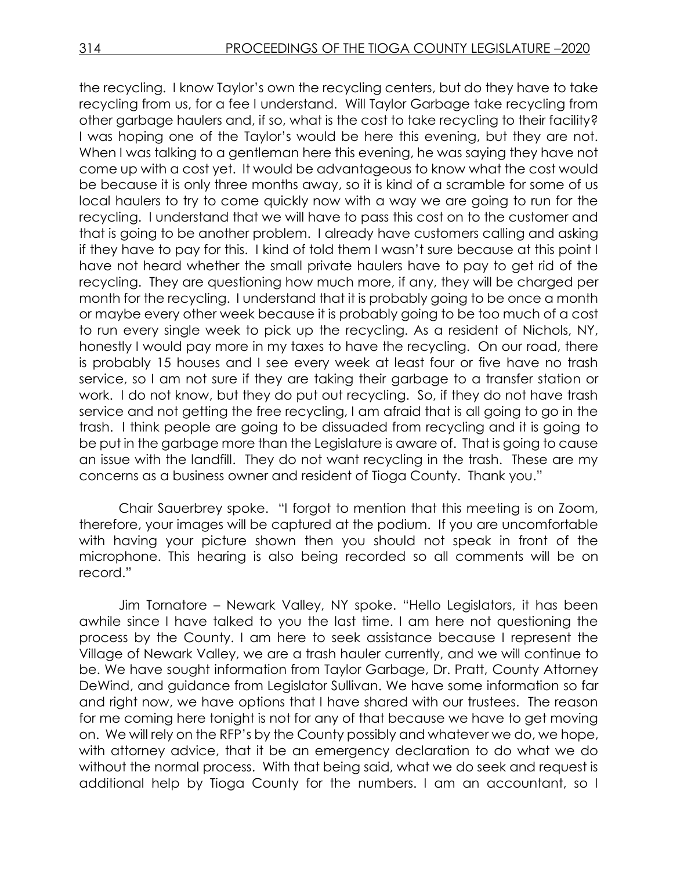the recycling. I know Taylor's own the recycling centers, but do they have to take recycling from us, for a fee I understand. Will Taylor Garbage take recycling from other garbage haulers and, if so, what is the cost to take recycling to their facility? I was hoping one of the Taylor's would be here this evening, but they are not. When I was talking to a gentleman here this evening, he was saying they have not come up with a cost yet. It would be advantageous to know what the cost would be because it is only three months away, so it is kind of a scramble for some of us local haulers to try to come quickly now with a way we are going to run for the recycling. I understand that we will have to pass this cost on to the customer and that is going to be another problem. I already have customers calling and asking if they have to pay for this. I kind of told them I wasn't sure because at this point I have not heard whether the small private haulers have to pay to get rid of the recycling. They are questioning how much more, if any, they will be charged per month for the recycling. I understand that it is probably going to be once a month or maybe every other week because it is probably going to be too much of a cost to run every single week to pick up the recycling. As a resident of Nichols, NY, honestly I would pay more in my taxes to have the recycling. On our road, there is probably 15 houses and I see every week at least four or five have no trash service, so I am not sure if they are taking their garbage to a transfer station or work. I do not know, but they do put out recycling. So, if they do not have trash service and not getting the free recycling, I am afraid that is all going to go in the trash. I think people are going to be dissuaded from recycling and it is going to be put in the garbage more than the Legislature is aware of. That is going to cause an issue with the landfill. They do not want recycling in the trash. These are my concerns as a business owner and resident of Tioga County. Thank you."

Chair Sauerbrey spoke. "I forgot to mention that this meeting is on Zoom, therefore, your images will be captured at the podium. If you are uncomfortable with having your picture shown then you should not speak in front of the microphone. This hearing is also being recorded so all comments will be on record."

Jim Tornatore – Newark Valley, NY spoke. "Hello Legislators, it has been awhile since I have talked to you the last time. I am here not questioning the process by the County. I am here to seek assistance because I represent the Village of Newark Valley, we are a trash hauler currently, and we will continue to be. We have sought information from Taylor Garbage, Dr. Pratt, County Attorney DeWind, and guidance from Legislator Sullivan. We have some information so far and right now, we have options that I have shared with our trustees. The reason for me coming here tonight is not for any of that because we have to get moving on. We will rely on the RFP's by the County possibly and whatever we do, we hope, with attorney advice, that it be an emergency declaration to do what we do without the normal process. With that being said, what we do seek and request is additional help by Tioga County for the numbers. I am an accountant, so I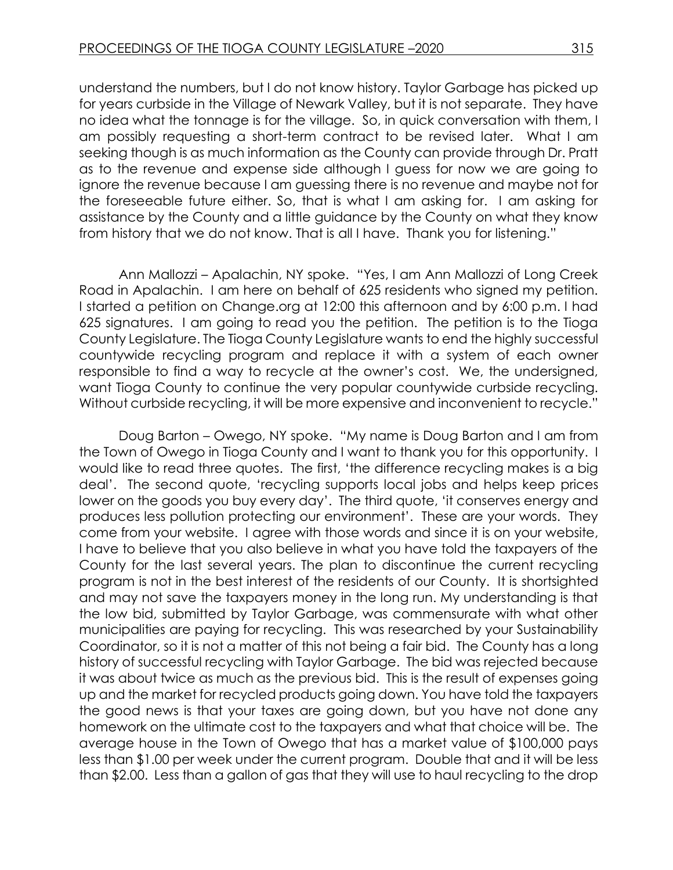understand the numbers, but I do not know history. Taylor Garbage has picked up for years curbside in the Village of Newark Valley, but it is not separate. They have no idea what the tonnage is for the village. So, in quick conversation with them, I am possibly requesting a short-term contract to be revised later. What I am seeking though is as much information as the County can provide through Dr. Pratt as to the revenue and expense side although I guess for now we are going to ignore the revenue because I am guessing there is no revenue and maybe not for the foreseeable future either. So, that is what I am asking for. I am asking for assistance by the County and a little guidance by the County on what they know from history that we do not know. That is all I have. Thank you for listening."

Ann Mallozzi – Apalachin, NY spoke. "Yes, I am Ann Mallozzi of Long Creek Road in Apalachin. I am here on behalf of 625 residents who signed my petition. I started a petition on Change.org at 12:00 this afternoon and by 6:00 p.m. I had 625 signatures. I am going to read you the petition. The petition is to the Tioga County Legislature. The Tioga County Legislature wants to end the highly successful countywide recycling program and replace it with a system of each owner responsible to find a way to recycle at the owner's cost. We, the undersigned, want Tioga County to continue the very popular countywide curbside recycling. Without curbside recycling, it will be more expensive and inconvenient to recycle."

Doug Barton – Owego, NY spoke. "My name is Doug Barton and I am from the Town of Owego in Tioga County and I want to thank you for this opportunity. I would like to read three quotes. The first, 'the difference recycling makes is a big deal'. The second quote, 'recycling supports local jobs and helps keep prices lower on the goods you buy every day'. The third quote, 'it conserves energy and produces less pollution protecting our environment'. These are your words. They come from your website. I agree with those words and since it is on your website, I have to believe that you also believe in what you have told the taxpayers of the County for the last several years. The plan to discontinue the current recycling program is not in the best interest of the residents of our County. It is shortsighted and may not save the taxpayers money in the long run. My understanding is that the low bid, submitted by Taylor Garbage, was commensurate with what other municipalities are paying for recycling. This was researched by your Sustainability Coordinator, so it is not a matter of this not being a fair bid. The County has a long history of successful recycling with Taylor Garbage. The bid was rejected because it was about twice as much as the previous bid. This is the result of expenses going up and the market for recycled products going down. You have told the taxpayers the good news is that your taxes are going down, but you have not done any homework on the ultimate cost to the taxpayers and what that choice will be. The average house in the Town of Owego that has a market value of \$100,000 pays less than \$1.00 per week under the current program. Double that and it will be less than \$2.00. Less than a gallon of gas that they will use to haul recycling to the drop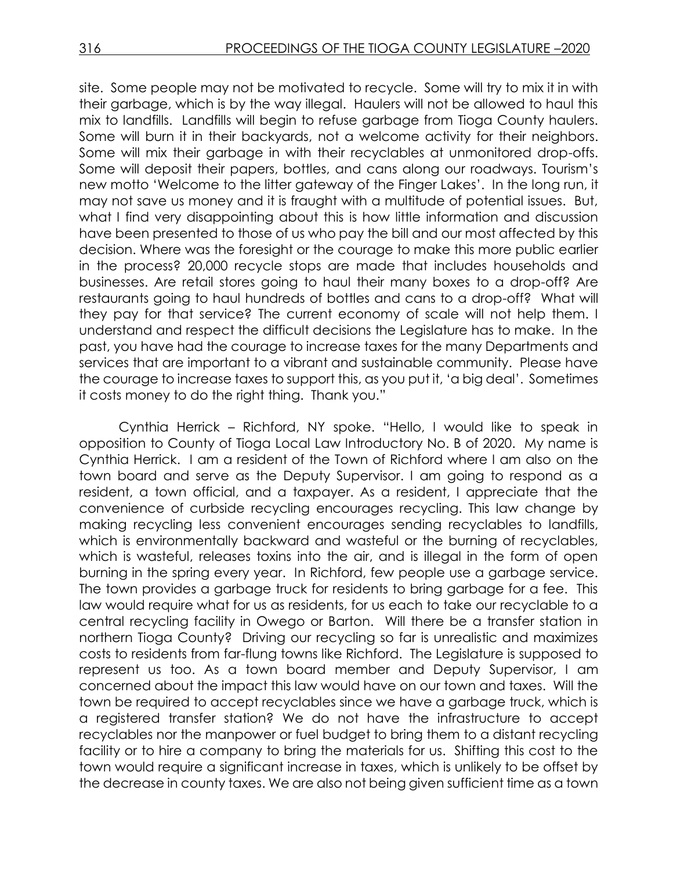site. Some people may not be motivated to recycle. Some will try to mix it in with their garbage, which is by the way illegal. Haulers will not be allowed to haul this mix to landfills. Landfills will begin to refuse garbage from Tioga County haulers. Some will burn it in their backyards, not a welcome activity for their neighbors. Some will mix their garbage in with their recyclables at unmonitored drop-offs. Some will deposit their papers, bottles, and cans along our roadways. Tourism's new motto 'Welcome to the litter gateway of the Finger Lakes'. In the long run, it may not save us money and it is fraught with a multitude of potential issues. But, what I find very disappointing about this is how little information and discussion have been presented to those of us who pay the bill and our most affected by this decision. Where was the foresight or the courage to make this more public earlier in the process? 20,000 recycle stops are made that includes households and businesses. Are retail stores going to haul their many boxes to a drop-off? Are restaurants going to haul hundreds of bottles and cans to a drop-off? What will they pay for that service? The current economy of scale will not help them. I understand and respect the difficult decisions the Legislature has to make. In the past, you have had the courage to increase taxes for the many Departments and services that are important to a vibrant and sustainable community. Please have the courage to increase taxes to support this, as you put it, 'a big deal'. Sometimes it costs money to do the right thing. Thank you."

Cynthia Herrick – Richford, NY spoke. "Hello, I would like to speak in opposition to County of Tioga Local Law Introductory No. B of 2020. My name is Cynthia Herrick. I am a resident of the Town of Richford where I am also on the town board and serve as the Deputy Supervisor. I am going to respond as a resident, a town official, and a taxpayer. As a resident, I appreciate that the convenience of curbside recycling encourages recycling. This law change by making recycling less convenient encourages sending recyclables to landfills, which is environmentally backward and wasteful or the burning of recyclables, which is wasteful, releases toxins into the air, and is illegal in the form of open burning in the spring every year. In Richford, few people use a garbage service. The town provides a garbage truck for residents to bring garbage for a fee. This law would require what for us as residents, for us each to take our recyclable to a central recycling facility in Owego or Barton. Will there be a transfer station in northern Tioga County? Driving our recycling so far is unrealistic and maximizes costs to residents from far-flung towns like Richford. The Legislature is supposed to represent us too. As a town board member and Deputy Supervisor, I am concerned about the impact this law would have on our town and taxes. Will the town be required to accept recyclables since we have a garbage truck, which is a registered transfer station? We do not have the infrastructure to accept recyclables nor the manpower or fuel budget to bring them to a distant recycling facility or to hire a company to bring the materials for us. Shifting this cost to the town would require a significant increase in taxes, which is unlikely to be offset by the decrease in county taxes. We are also not being given sufficient time as a town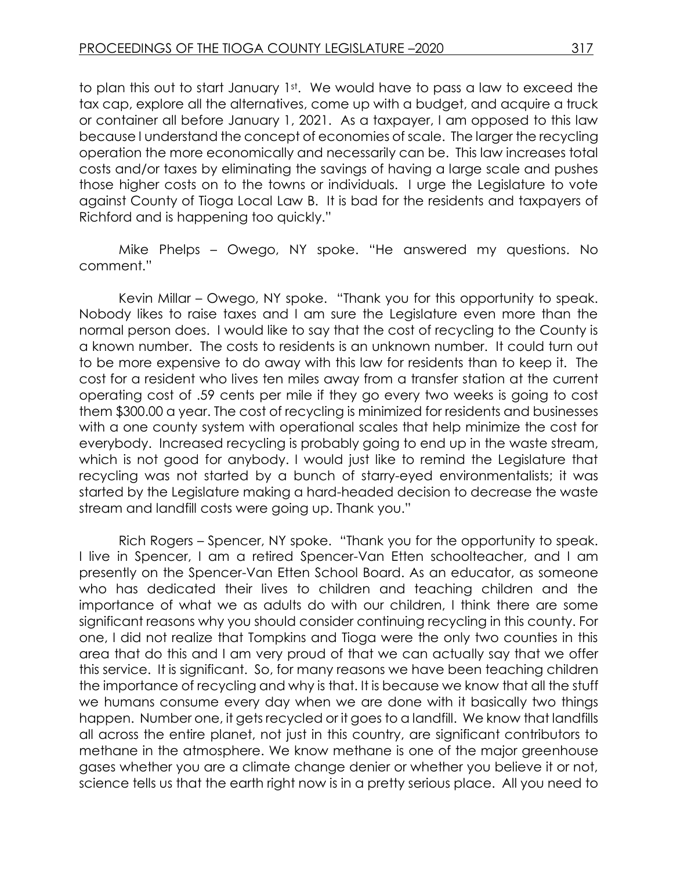to plan this out to start January 1st. We would have to pass a law to exceed the tax cap, explore all the alternatives, come up with a budget, and acquire a truck or container all before January 1, 2021. As a taxpayer, I am opposed to this law because I understand the concept of economies of scale. The larger the recycling operation the more economically and necessarily can be. This law increases total costs and/or taxes by eliminating the savings of having a large scale and pushes those higher costs on to the towns or individuals. I urge the Legislature to vote against County of Tioga Local Law B. It is bad for the residents and taxpayers of Richford and is happening too quickly."

Mike Phelps – Owego, NY spoke. "He answered my questions. No comment."

Kevin Millar – Owego, NY spoke. "Thank you for this opportunity to speak. Nobody likes to raise taxes and I am sure the Legislature even more than the normal person does. I would like to say that the cost of recycling to the County is a known number. The costs to residents is an unknown number. It could turn out to be more expensive to do away with this law for residents than to keep it. The cost for a resident who lives ten miles away from a transfer station at the current operating cost of .59 cents per mile if they go every two weeks is going to cost them \$300.00 a year. The cost of recycling is minimized for residents and businesses with a one county system with operational scales that help minimize the cost for everybody. Increased recycling is probably going to end up in the waste stream, which is not good for anybody. I would just like to remind the Legislature that recycling was not started by a bunch of starry-eyed environmentalists; it was started by the Legislature making a hard-headed decision to decrease the waste stream and landfill costs were going up. Thank you."

Rich Rogers – Spencer, NY spoke. "Thank you for the opportunity to speak. I live in Spencer, I am a retired Spencer-Van Etten schoolteacher, and I am presently on the Spencer-Van Etten School Board. As an educator, as someone who has dedicated their lives to children and teaching children and the importance of what we as adults do with our children, I think there are some significant reasons why you should consider continuing recycling in this county. For one, I did not realize that Tompkins and Tioga were the only two counties in this area that do this and I am very proud of that we can actually say that we offer this service. It is significant. So, for many reasons we have been teaching children the importance of recycling and why is that. It is because we know that all the stuff we humans consume every day when we are done with it basically two things happen. Number one, it gets recycled or it goes to a landfill. We know that landfills all across the entire planet, not just in this country, are significant contributors to methane in the atmosphere. We know methane is one of the major greenhouse gases whether you are a climate change denier or whether you believe it or not, science tells us that the earth right now is in a pretty serious place. All you need to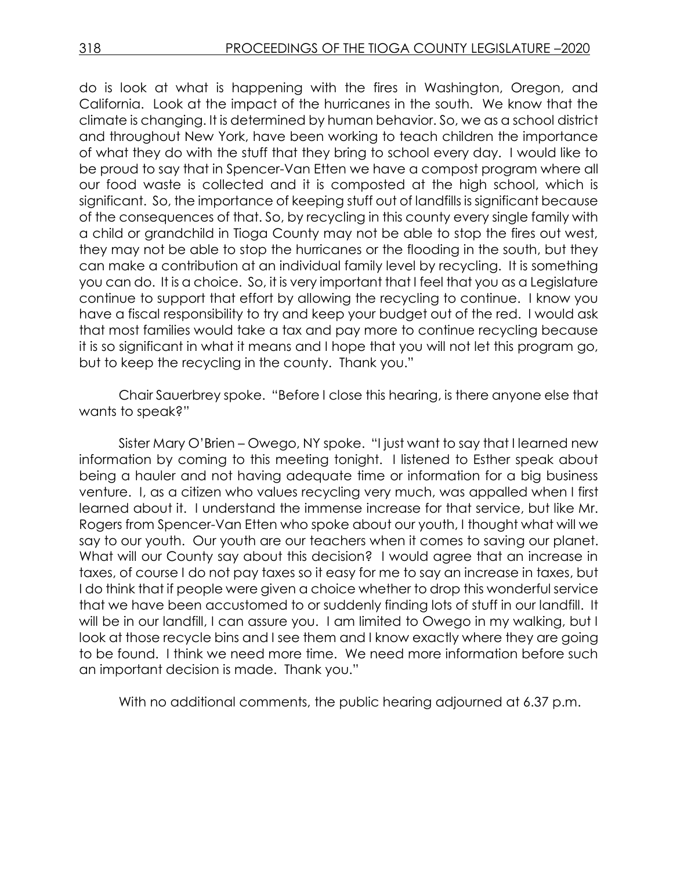do is look at what is happening with the fires in Washington, Oregon, and California. Look at the impact of the hurricanes in the south. We know that the climate is changing. It is determined by human behavior. So, we as a school district and throughout New York, have been working to teach children the importance of what they do with the stuff that they bring to school every day. I would like to be proud to say that in Spencer-Van Etten we have a compost program where all our food waste is collected and it is composted at the high school, which is significant. So, the importance of keeping stuff out of landfills is significant because of the consequences of that. So, by recycling in this county every single family with a child or grandchild in Tioga County may not be able to stop the fires out west, they may not be able to stop the hurricanes or the flooding in the south, but they can make a contribution at an individual family level by recycling. It is something you can do. It is a choice. So, it is very important that I feel that you as a Legislature continue to support that effort by allowing the recycling to continue. I know you have a fiscal responsibility to try and keep your budget out of the red. I would ask that most families would take a tax and pay more to continue recycling because it is so significant in what it means and I hope that you will not let this program go, but to keep the recycling in the county. Thank you."

Chair Sauerbrey spoke. "Before I close this hearing, is there anyone else that wants to speak?"

Sister Mary O'Brien – Owego, NY spoke. "I just want to say that I learned new information by coming to this meeting tonight. I listened to Esther speak about being a hauler and not having adequate time or information for a big business venture. I, as a citizen who values recycling very much, was appalled when I first learned about it. I understand the immense increase for that service, but like Mr. Rogers from Spencer-Van Etten who spoke about our youth, I thought what will we say to our youth. Our youth are our teachers when it comes to saving our planet. What will our County say about this decision? I would agree that an increase in taxes, of course I do not pay taxes so it easy for me to say an increase in taxes, but I do think that if people were given a choice whether to drop this wonderful service that we have been accustomed to or suddenly finding lots of stuff in our landfill. It will be in our landfill, I can assure you. I am limited to Owego in my walking, but I look at those recycle bins and I see them and I know exactly where they are going to be found. I think we need more time. We need more information before such an important decision is made. Thank you."

With no additional comments, the public hearing adjourned at 6.37 p.m.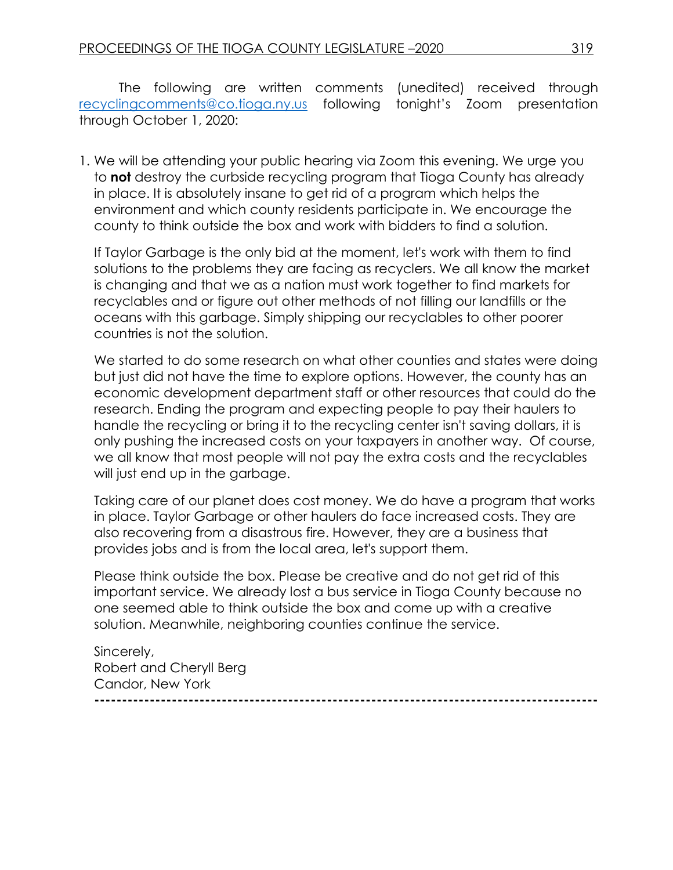The following are written comments (unedited) received through [recyclingcomments@co.tioga.ny.us](mailto:recyclingcomments@co.tioga.ny.us) following tonight's Zoom presentation through October 1, 2020:

1. We will be attending your public hearing via Zoom this evening. We urge you to **not** destroy the curbside recycling program that Tioga County has already in place. It is absolutely insane to get rid of a program which helps the environment and which county residents participate in. We encourage the county to think outside the box and work with bidders to find a solution.

If Taylor Garbage is the only bid at the moment, let's work with them to find solutions to the problems they are facing as recyclers. We all know the market is changing and that we as a nation must work together to find markets for recyclables and or figure out other methods of not filling our landfills or the oceans with this garbage. Simply shipping our recyclables to other poorer countries is not the solution.

We started to do some research on what other counties and states were doing but just did not have the time to explore options. However, the county has an economic development department staff or other resources that could do the research. Ending the program and expecting people to pay their haulers to handle the recycling or bring it to the recycling center isn't saving dollars, it is only pushing the increased costs on your taxpayers in another way. Of course, we all know that most people will not pay the extra costs and the recyclables will just end up in the garbage.

Taking care of our planet does cost money. We do have a program that works in place. Taylor Garbage or other haulers do face increased costs. They are also recovering from a disastrous fire. However, they are a business that provides jobs and is from the local area, let's support them.

Please think outside the box. Please be creative and do not get rid of this important service. We already lost a bus service in Tioga County because no one seemed able to think outside the box and come up with a creative solution. Meanwhile, neighboring counties continue the service.

Sincerely, Robert and Cheryll Berg Candor, New York **-------------------------------------------------------------------------------------------**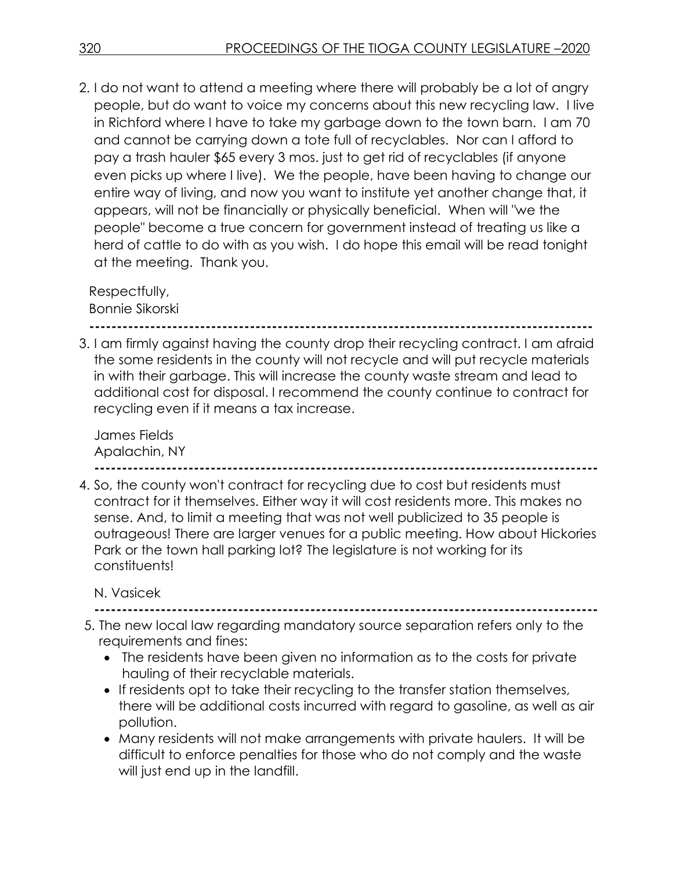2. I do not want to attend a meeting where there will probably be a lot of angry people, but do want to voice my concerns about this new recycling law. I live in Richford where I have to take my garbage down to the town barn. I am 70 and cannot be carrying down a tote full of recyclables. Nor can I afford to pay a trash hauler \$65 every 3 mos. just to get rid of recyclables (if anyone even picks up where I live). We the people, have been having to change our entire way of living, and now you want to institute yet another change that, it appears, will not be financially or physically beneficial. When will "we the people" become a true concern for government instead of treating us like a herd of cattle to do with as you wish. I do hope this email will be read tonight at the meeting. Thank you.

Respectfully, Bonnie Sikorski

**-------------------------------------------------------------------------------------------**

3. I am firmly against having the county drop their recycling contract. I am afraid the some residents in the county will not recycle and will put recycle materials in with their garbage. This will increase the county waste stream and lead to additional cost for disposal. I recommend the county continue to contract for recycling even if it means a tax increase.

James Fields Apalachin, NY **-------------------------------------------------------------------------------------------**

4. So, the county won't contract for recycling due to cost but residents must contract for it themselves. Either way it will cost residents more. This makes no sense. And, to limit a meeting that was not well publicized to 35 people is outrageous! There are larger venues for a public meeting. How about Hickories Park or the town hall parking lot? The legislature is not working for its constituents!

N. Vasicek

**-------------------------------------------------------------------------------------------**

- 5. The new local law regarding mandatory source separation refers only to the requirements and fines:
	- The residents have been given no information as to the costs for private hauling of their recyclable materials.
	- If residents opt to take their recycling to the transfer station themselves, there will be additional costs incurred with regard to gasoline, as well as air pollution.
	- Many residents will not make arrangements with private haulers. It will be difficult to enforce penalties for those who do not comply and the waste will just end up in the landfill.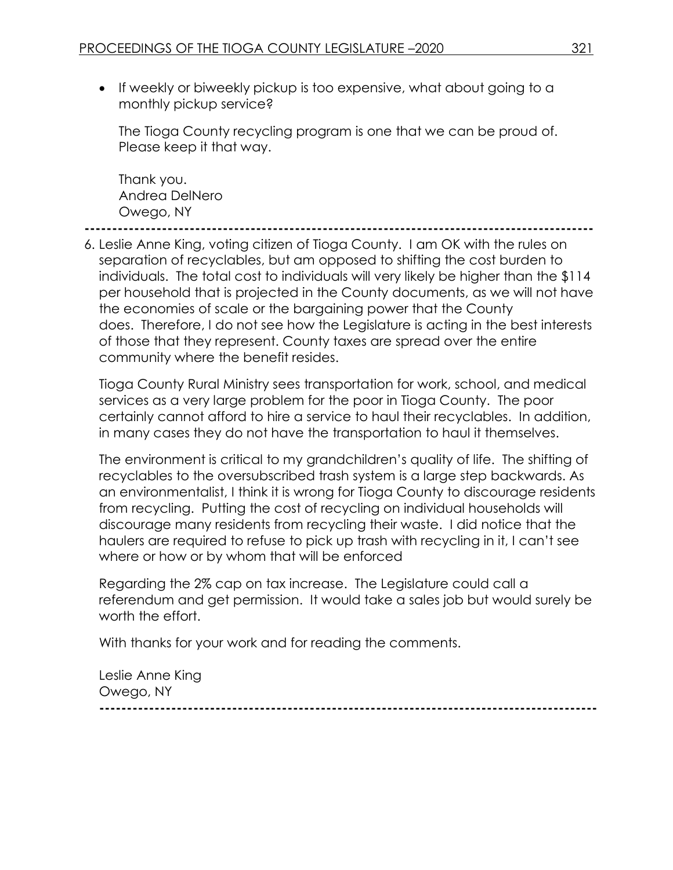• If weekly or biweekly pickup is too expensive, what about going to a monthly pickup service?

The Tioga County recycling program is one that we can be proud of. Please keep it that way.

Thank you. Andrea DelNero Owego, NY

**--------------------------------------------------------------------------------------------**

6. Leslie Anne King, voting citizen of Tioga County. I am OK with the rules on separation of recyclables, but am opposed to shifting the cost burden to individuals. The total cost to individuals will very likely be higher than the \$114 per household that is projected in the County documents, as we will not have the economies of scale or the bargaining power that the County does. Therefore, I do not see how the Legislature is acting in the best interests of those that they represent. County taxes are spread over the entire community where the benefit resides.

Tioga County Rural Ministry sees transportation for work, school, and medical services as a very large problem for the poor in Tioga County. The poor certainly cannot afford to hire a service to haul their recyclables. In addition, in many cases they do not have the transportation to haul it themselves.

The environment is critical to my grandchildren's quality of life. The shifting of recyclables to the oversubscribed trash system is a large step backwards. As an environmentalist, I think it is wrong for Tioga County to discourage residents from recycling. Putting the cost of recycling on individual households will discourage many residents from recycling their waste. I did notice that the haulers are required to refuse to pick up trash with recycling in it, I can't see where or how or by whom that will be enforced

Regarding the 2% cap on tax increase. The Legislature could call a referendum and get permission. It would take a sales job but would surely be worth the effort.

With thanks for your work and for reading the comments.

Leslie Anne King Owego, NY **------------------------------------------------------------------------------------------**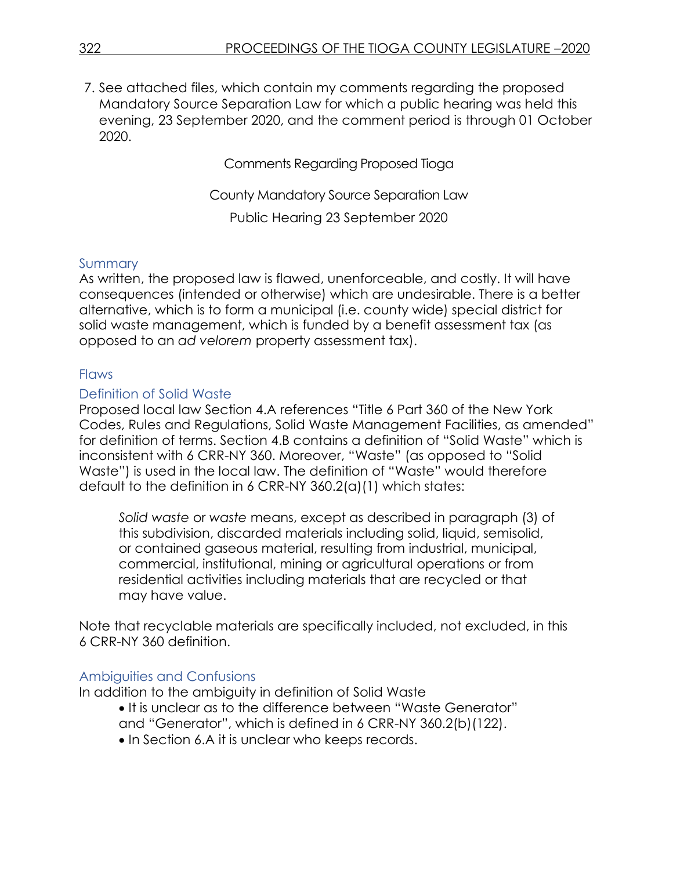7. See attached files, which contain my comments regarding the proposed Mandatory Source Separation Law for which a public hearing was held this evening, 23 September 2020, and the comment period is through 01 October 2020.

Comments Regarding Proposed Tioga

County Mandatory Source Separation Law Public Hearing 23 September 2020

## **Summary**

As written, the proposed law is flawed, unenforceable, and costly. It will have consequences (intended or otherwise) which are undesirable. There is a better alternative, which is to form a municipal (i.e. county wide) special district for solid waste management, which is funded by a benefit assessment tax (as opposed to an *ad velorem* property assessment tax).

## **Flaws**

## Definition of Solid Waste

Proposed local law Section 4.A references "Title 6 Part 360 of the New York Codes, Rules and Regulations, Solid Waste Management Facilities, as amended" for definition of terms. Section 4.B contains a definition of "Solid Waste" which is inconsistent with 6 CRR-NY 360. Moreover, "Waste" (as opposed to "Solid Waste") is used in the local law. The definition of "Waste" would therefore default to the definition in 6 CRR-NY 360.2(a)(1) which states:

*Solid waste* or *waste* means, except as described in paragraph (3) of this subdivision, discarded materials including solid, liquid, semisolid, or contained gaseous material, resulting from industrial, municipal, commercial, institutional, mining or agricultural operations or from residential activities including materials that are recycled or that may have value.

Note that recyclable materials are specifically included, not excluded, in this 6 CRR-NY 360 definition.

## Ambiguities and Confusions

In addition to the ambiguity in definition of Solid Waste

- It is unclear as to the difference between "Waste Generator"
- and "Generator", which is defined in 6 CRR-NY 360.2(b)(122).
- In Section 6.A it is unclear who keeps records.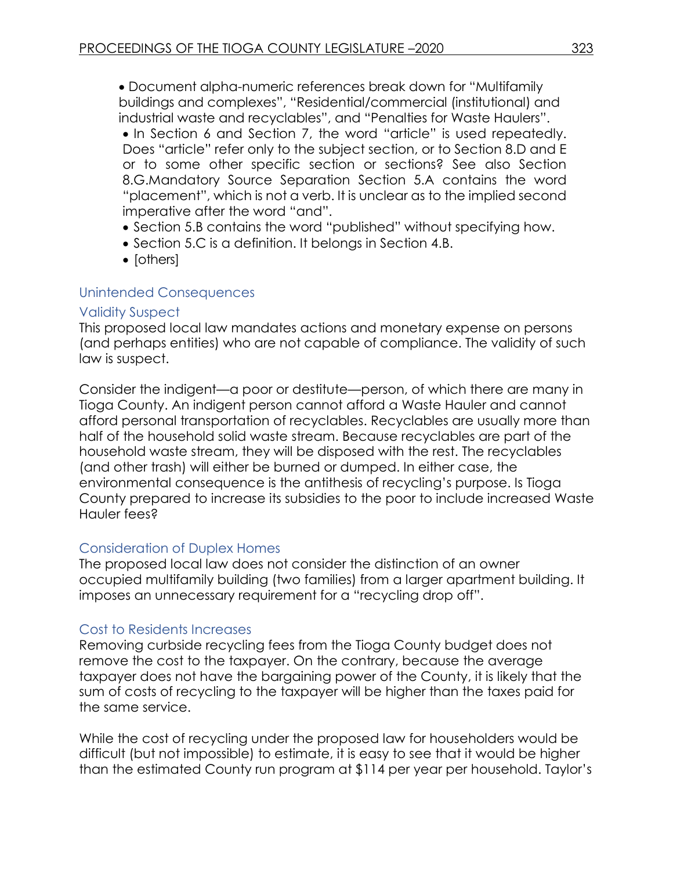Document alpha-numeric references break down for "Multifamily buildings and complexes", "Residential/commercial (institutional) and industrial waste and recyclables", and "Penalties for Waste Haulers". • In Section 6 and Section 7, the word "article" is used repeatedly. Does "article" refer only to the subject section, or to Section 8.D and E or to some other specific section or sections? See also Section 8.G.Mandatory Source Separation Section 5.A contains the word "placement", which is not a verb. It is unclear as to the implied second imperative after the word "and".

- Section 5.B contains the word "published" without specifying how.
- Section 5.C is a definition. It belonas in Section 4.B.
- $\bullet$  [others]

#### Unintended Consequences

#### Validity Suspect

This proposed local law mandates actions and monetary expense on persons (and perhaps entities) who are not capable of compliance. The validity of such law is suspect.

Consider the indigent—a poor or destitute—person, of which there are many in Tioga County. An indigent person cannot afford a Waste Hauler and cannot afford personal transportation of recyclables. Recyclables are usually more than half of the household solid waste stream. Because recyclables are part of the household waste stream, they will be disposed with the rest. The recyclables (and other trash) will either be burned or dumped. In either case, the environmental consequence is the antithesis of recycling's purpose. Is Tioga County prepared to increase its subsidies to the poor to include increased Waste Hauler fees?

## Consideration of Duplex Homes

The proposed local law does not consider the distinction of an owner occupied multifamily building (two families) from a larger apartment building. It imposes an unnecessary requirement for a "recycling drop off".

## Cost to Residents Increases

Removing curbside recycling fees from the Tioga County budget does not remove the cost to the taxpayer. On the contrary, because the average taxpayer does not have the bargaining power of the County, it is likely that the sum of costs of recycling to the taxpayer will be higher than the taxes paid for the same service.

While the cost of recycling under the proposed law for householders would be difficult (but not impossible) to estimate, it is easy to see that it would be higher than the estimated County run program at \$114 per year per household. Taylor's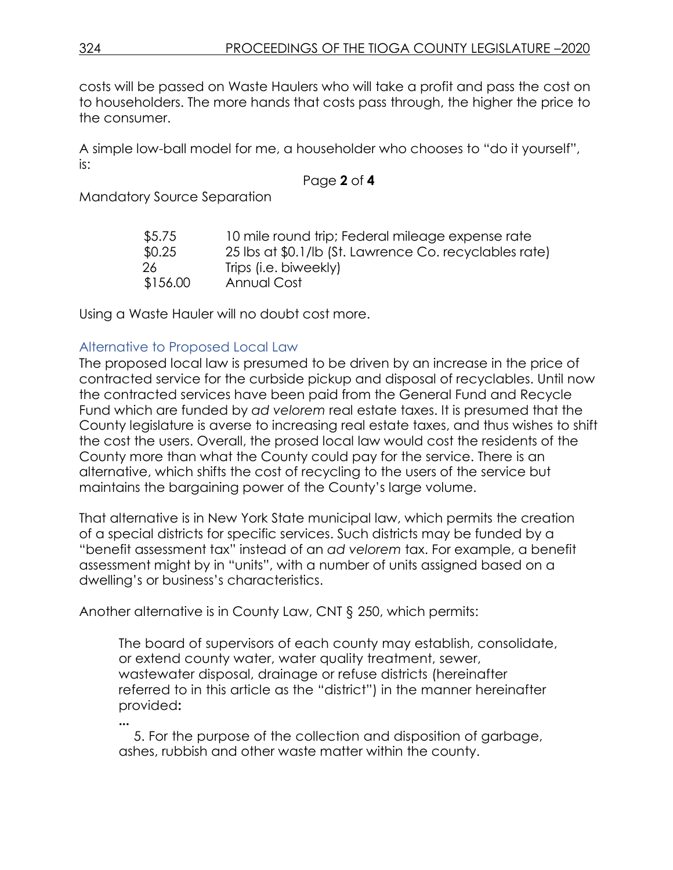costs will be passed on Waste Haulers who will take a profit and pass the cost on to householders. The more hands that costs pass through, the higher the price to the consumer.

A simple low-ball model for me, a householder who chooses to "do it yourself", is:

## Page **2** of **4**

Mandatory Source Separation

| \$5.75   | 10 mile round trip; Federal mileage expense rate       |
|----------|--------------------------------------------------------|
| \$0.25   | 25 lbs at \$0.1/lb (St. Lawrence Co. recyclables rate) |
| -26      | Trips (i.e. biweekly)                                  |
| \$156.00 | Annual Cost                                            |

Using a Waste Hauler will no doubt cost more.

## Alternative to Proposed Local Law

The proposed local law is presumed to be driven by an increase in the price of contracted service for the curbside pickup and disposal of recyclables. Until now the contracted services have been paid from the General Fund and Recycle Fund which are funded by *ad velorem* real estate taxes. It is presumed that the County legislature is averse to increasing real estate taxes, and thus wishes to shift the cost the users. Overall, the prosed local law would cost the residents of the County more than what the County could pay for the service. There is an alternative, which shifts the cost of recycling to the users of the service but maintains the bargaining power of the County's large volume.

That alternative is in New York State municipal law, which permits the creation of a special districts for specific services. Such districts may be funded by a "benefit assessment tax" instead of an *ad velorem* tax. For example, a benefit assessment might by in "units", with a number of units assigned based on a dwelling's or business's characteristics.

Another alternative is in County Law, CNT § 250, which permits:

The board of supervisors of each county may establish, consolidate, or extend county water, water quality treatment, sewer, wastewater disposal, drainage or refuse districts (hereinafter referred to in this article as the "district") in the manner hereinafter provided**:**

**...** 5. For the purpose of the collection and disposition of garbage, ashes, rubbish and other waste matter within the county.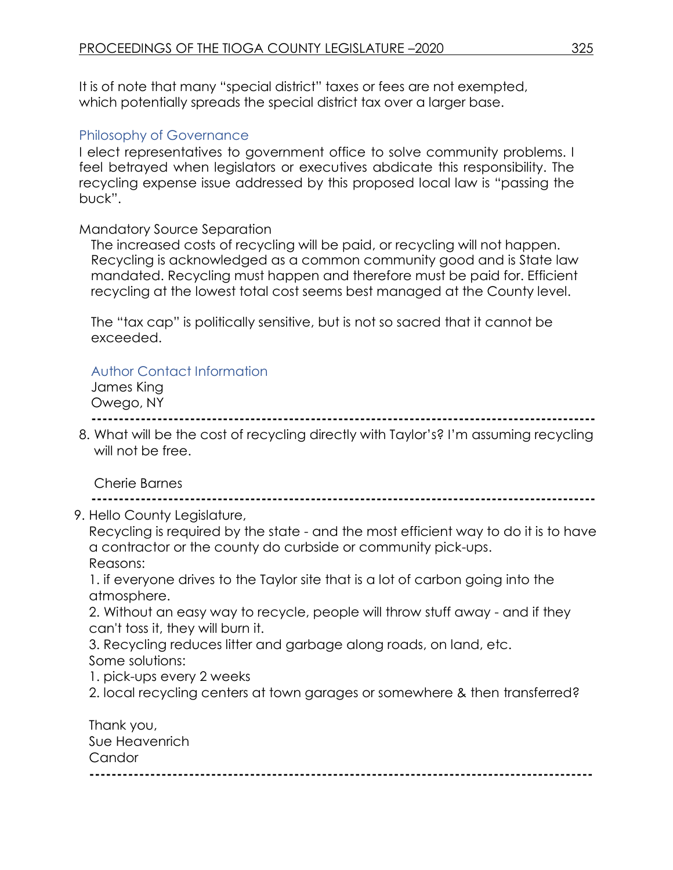It is of note that many "special district" taxes or fees are not exempted, which potentially spreads the special district tax over a larger base.

## Philosophy of Governance

I elect representatives to government office to solve community problems. I feel betrayed when legislators or executives abdicate this responsibility. The recycling expense issue addressed by this proposed local law is "passing the buck".

#### Mandatory Source Separation

The increased costs of recycling will be paid, or recycling will not happen. Recycling is acknowledged as a common community good and is State law mandated. Recycling must happen and therefore must be paid for. Efficient recycling at the lowest total cost seems best managed at the County level.

The "tax cap" is politically sensitive, but is not so sacred that it cannot be exceeded.

## Author Contact Information

James King Owego, NY **--------------------------------------------------------------------------------------------**

8. What will be the cost of recycling directly with Taylor's? I'm assuming recycling will not be free.

## Cherie Barnes

**--------------------------------------------------------------------------------------------**

9. Hello County Legislature,

Recycling is required by the state - and the most efficient way to do it is to have a contractor or the county do curbside or community pick-ups. Reasons:

1. if everyone drives to the Taylor site that is a lot of carbon going into the atmosphere.

2. Without an easy way to recycle, people will throw stuff away - and if they can't toss it, they will burn it.

3. Recycling reduces litter and garbage along roads, on land, etc. Some solutions:

1. pick-ups every 2 weeks

2. local recycling centers at town garages or somewhere & then transferred?

| Thank you,     |  |
|----------------|--|
| Sue Heavenrich |  |
| Candor         |  |
|                |  |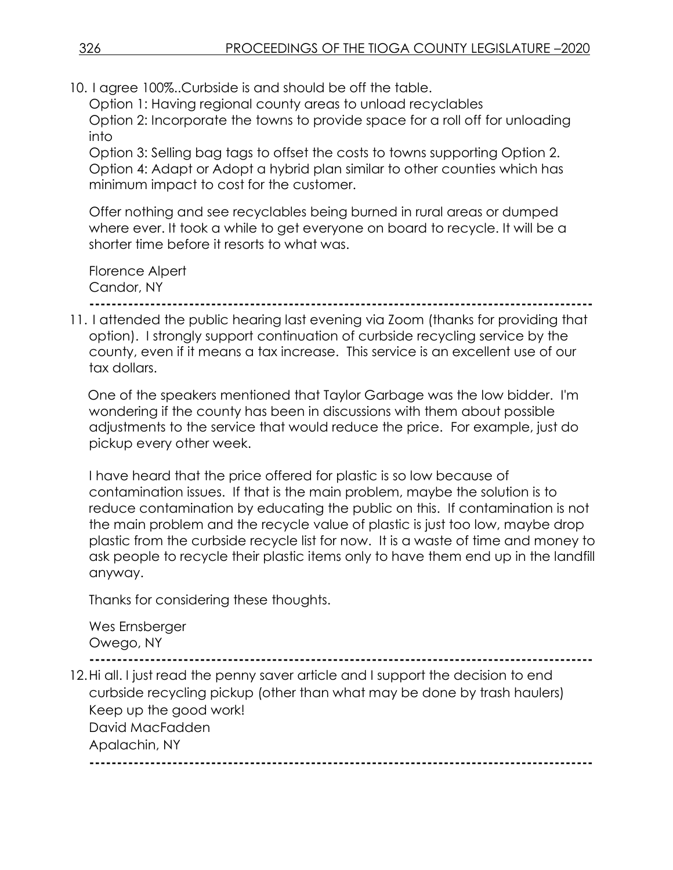10. I agree 100%..Curbside is and should be off the table.

Option 1: Having regional county areas to unload recyclables Option 2: Incorporate the towns to provide space for a roll off for unloading into

Option 3: Selling bag tags to offset the costs to towns supporting Option 2. Option 4: Adapt or Adopt a hybrid plan similar to other counties which has minimum impact to cost for the customer.

Offer nothing and see recyclables being burned in rural areas or dumped where ever. It took a while to get everyone on board to recycle. It will be a shorter time before it resorts to what was.

Florence Alpert Candor, NY

**-------------------------------------------------------------------------------------------**

11. I attended the public hearing last evening via Zoom (thanks for providing that option). I strongly support continuation of curbside recycling service by the county, even if it means a tax increase. This service is an excellent use of our tax dollars.

One of the speakers mentioned that Taylor Garbage was the low bidder. I'm wondering if the county has been in discussions with them about possible adjustments to the service that would reduce the price. For example, just do pickup every other week.

I have heard that the price offered for plastic is so low because of contamination issues. If that is the main problem, maybe the solution is to reduce contamination by educating the public on this. If contamination is not the main problem and the recycle value of plastic is just too low, maybe drop plastic from the curbside recycle list for now. It is a waste of time and money to ask people to recycle their plastic items only to have them end up in the landfill anyway.

Thanks for considering these thoughts.

Wes Ernsberger Owego, NY **-------------------------------------------------------------------------------------------** 12.Hi all. I just read the penny saver article and I support the decision to end curbside recycling pickup (other than what may be done by trash haulers) Keep up the good work! David MacFadden Apalachin, NY **-------------------------------------------------------------------------------------------**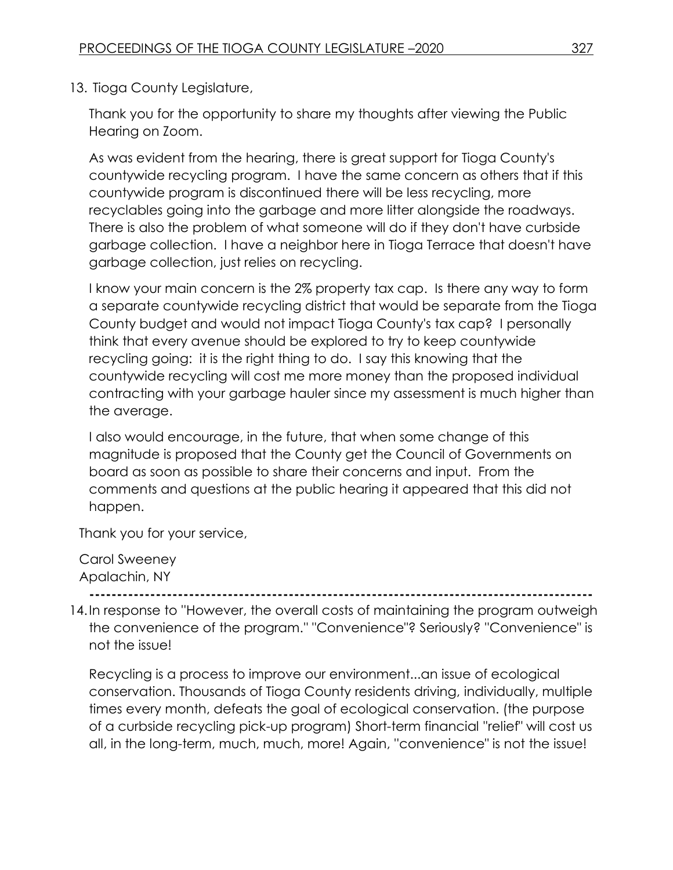13. Tioga County Legislature,

Thank you for the opportunity to share my thoughts after viewing the Public Hearing on Zoom.

As was evident from the hearing, there is great support for Tioga County's countywide recycling program. I have the same concern as others that if this countywide program is discontinued there will be less recycling, more recyclables going into the garbage and more litter alongside the roadways. There is also the problem of what someone will do if they don't have curbside garbage collection. I have a neighbor here in Tioga Terrace that doesn't have garbage collection, just relies on recycling.

I know your main concern is the 2% property tax cap. Is there any way to form a separate countywide recycling district that would be separate from the Tioga County budget and would not impact Tioga County's tax cap? I personally think that every avenue should be explored to try to keep countywide recycling going: it is the right thing to do. I say this knowing that the countywide recycling will cost me more money than the proposed individual contracting with your garbage hauler since my assessment is much higher than the average.

I also would encourage, in the future, that when some change of this magnitude is proposed that the County get the Council of Governments on board as soon as possible to share their concerns and input. From the comments and questions at the public hearing it appeared that this did not happen.

Thank you for your service,

Carol Sweeney Apalachin, NY

**-------------------------------------------------------------------------------------------**

14.In response to ''However, the overall costs of maintaining the program outweigh the convenience of the program.'' "Convenience"? Seriously? ''Convenience" is not the issue!

Recycling is a process to improve our environment...an issue of ecological conservation. Thousands of Tioga County residents driving, individually, multiple times every month, defeats the goal of ecological conservation. (the purpose of a curbside recycling pick-up program) Short-term financial ''relief" will cost us all, in the long-term, much, much, more! Again, ''convenience" is not the issue!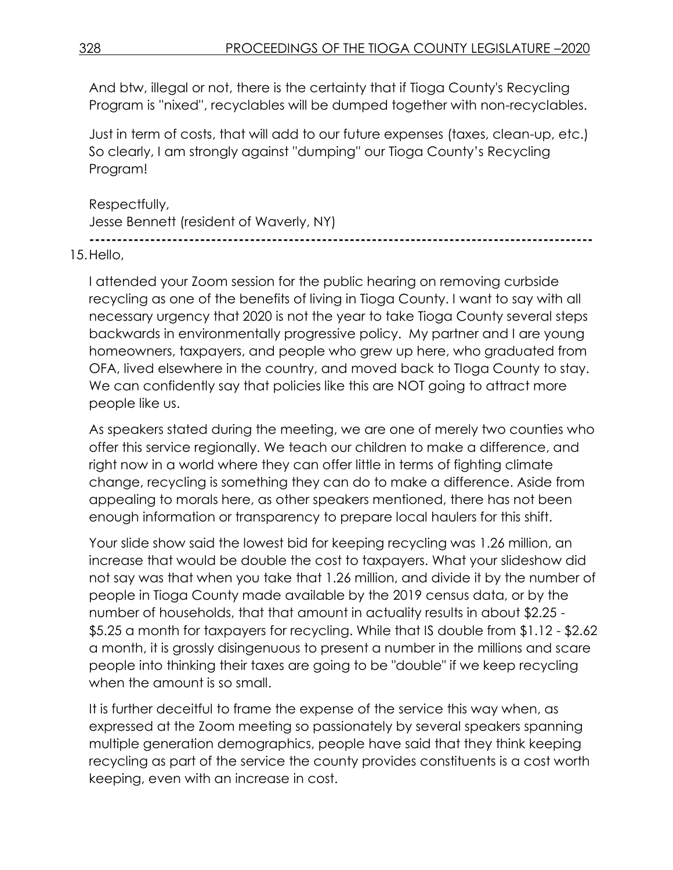And btw, illegal or not, there is the certainty that if Tioga County's Recycling Program is ''nixed'', recyclables will be dumped together with non-recyclables.

Just in term of costs, that will add to our future expenses (taxes, clean-up, etc.) So clearly, I am strongly against ''dumping'' our Tioga County's Recycling Program!

Respectfully, Jesse Bennett (resident of Waverly, NY) **-------------------------------------------------------------------------------------------**

15.Hello,

I attended your Zoom session for the public hearing on removing curbside recycling as one of the benefits of living in Tioga County. I want to say with all necessary urgency that 2020 is not the year to take Tioga County several steps backwards in environmentally progressive policy. My partner and I are young homeowners, taxpayers, and people who grew up here, who graduated from OFA, lived elsewhere in the country, and moved back to TIoga County to stay. We can confidently say that policies like this are NOT going to attract more people like us.

As speakers stated during the meeting, we are one of merely two counties who offer this service regionally. We teach our children to make a difference, and right now in a world where they can offer little in terms of fighting climate change, recycling is something they can do to make a difference. Aside from appealing to morals here, as other speakers mentioned, there has not been enough information or transparency to prepare local haulers for this shift.

Your slide show said the lowest bid for keeping recycling was 1.26 million, an increase that would be double the cost to taxpayers. What your slideshow did not say was that when you take that 1.26 million, and divide it by the number of people in Tioga County made available by the 2019 census data, or by the number of households, that that amount in actuality results in about \$2.25 - \$5.25 a month for taxpayers for recycling. While that IS double from \$1.12 - \$2.62 a month, it is grossly disingenuous to present a number in the millions and scare people into thinking their taxes are going to be "double" if we keep recycling when the amount is so small.

It is further deceitful to frame the expense of the service this way when, as expressed at the Zoom meeting so passionately by several speakers spanning multiple generation demographics, people have said that they think keeping recycling as part of the service the county provides constituents is a cost worth keeping, even with an increase in cost.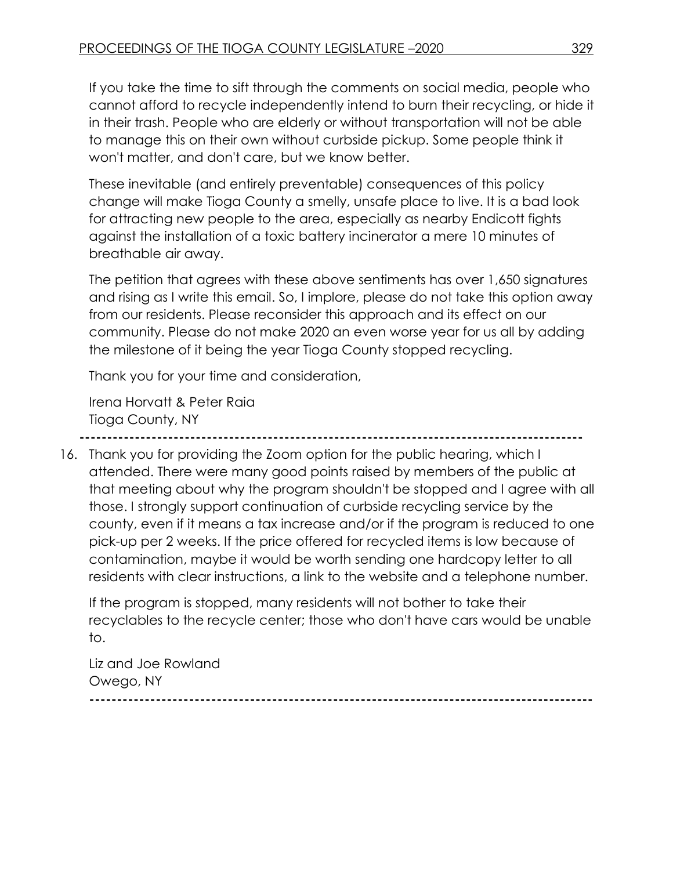If you take the time to sift through the comments on social media, people who cannot afford to recycle independently intend to burn their recycling, or hide it in their trash. People who are elderly or without transportation will not be able to manage this on their own without curbside pickup. Some people think it won't matter, and don't care, but we know better.

These inevitable (and entirely preventable) consequences of this policy change will make Tioga County a smelly, unsafe place to live. It is a bad look for attracting new people to the area, especially as nearby Endicott fights against the installation of a toxic battery incinerator a mere 10 minutes of breathable air away.

The petition that agrees with these above sentiments has over 1,650 signatures and rising as I write this email. So, I implore, please do not take this option away from our residents. Please reconsider this approach and its effect on our community. Please do not make 2020 an even worse year for us all by adding the milestone of it being the year Tioga County stopped recycling.

Thank you for your time and consideration,

Irena Horvatt & Peter Raia Tioga County, NY

**-------------------------------------------------------------------------------------------**

16. Thank you for providing the Zoom option for the public hearing, which I attended. There were many good points raised by members of the public at that meeting about why the program shouldn't be stopped and I agree with all those. I strongly support continuation of curbside recycling service by the county, even if it means a tax increase and/or if the program is reduced to one pick-up per 2 weeks. If the price offered for recycled items is low because of contamination, maybe it would be worth sending one hardcopy letter to all residents with clear instructions, a link to the website and a telephone number.

If the program is stopped, many residents will not bother to take their recyclables to the recycle center; those who don't have cars would be unable to.

Liz and Joe Rowland Owego, NY **-------------------------------------------------------------------------------------------**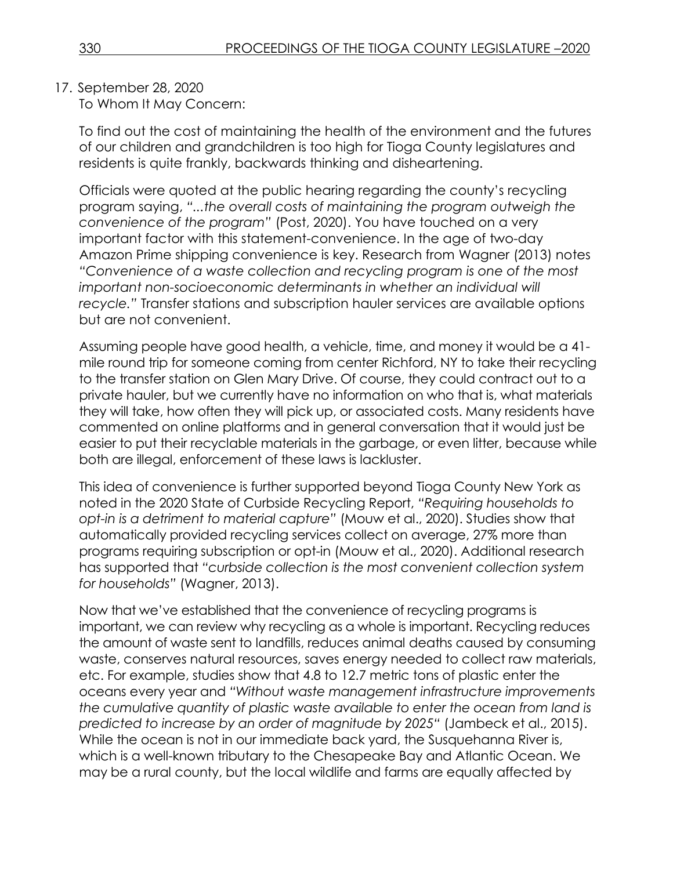17. September 28, 2020

To Whom It May Concern:

To find out the cost of maintaining the health of the environment and the futures of our children and grandchildren is too high for Tioga County legislatures and residents is quite frankly, backwards thinking and disheartening.

Officials were quoted at the public hearing regarding the county's recycling program saying, *"...the overall costs of maintaining the program outweigh the convenience of the program"* (Post, 2020). You have touched on a very important factor with this statement-convenience. In the age of two-day Amazon Prime shipping convenience is key. Research from Wagner (2013) notes *"Convenience of a waste collection and recycling program is one of the most*  important non-socioeconomic determinants in whether an individual will *recycle."* Transfer stations and subscription hauler services are available options but are not convenient.

Assuming people have good health, a vehicle, time, and money it would be a 41 mile round trip for someone coming from center Richford, NY to take their recycling to the transfer station on Glen Mary Drive. Of course, they could contract out to a private hauler, but we currently have no information on who that is, what materials they will take, how often they will pick up, or associated costs. Many residents have commented on online platforms and in general conversation that it would just be easier to put their recyclable materials in the garbage, or even litter, because while both are illegal, enforcement of these laws is lackluster.

This idea of convenience is further supported beyond Tioga County New York as noted in the 2020 State of Curbside Recycling Report, *"Requiring households to opt-in is a detriment to material capture"* (Mouw et al., 2020). Studies show that automatically provided recycling services collect on average, 27% more than programs requiring subscription or opt-in (Mouw et al., 2020). Additional research has supported that *"curbside collection is the most convenient collection system for households"* (Wagner, 2013).

Now that we've established that the convenience of recycling programs is important, we can review why recycling as a whole is important. Recycling reduces the amount of waste sent to landfills, reduces animal deaths caused by consuming waste, conserves natural resources, saves energy needed to collect raw materials, etc. For example, studies show that 4.8 to 12.7 metric tons of plastic enter the oceans every year and *"Without waste management infrastructure improvements the cumulative quantity of plastic waste available to enter the ocean from land is predicted to increase by an order of magnitude by 2025"* (Jambeck et al., 2015). While the ocean is not in our immediate back yard, the Susquehanna River is, which is a well-known tributary to the Chesapeake Bay and Atlantic Ocean. We may be a rural county, but the local wildlife and farms are equally affected by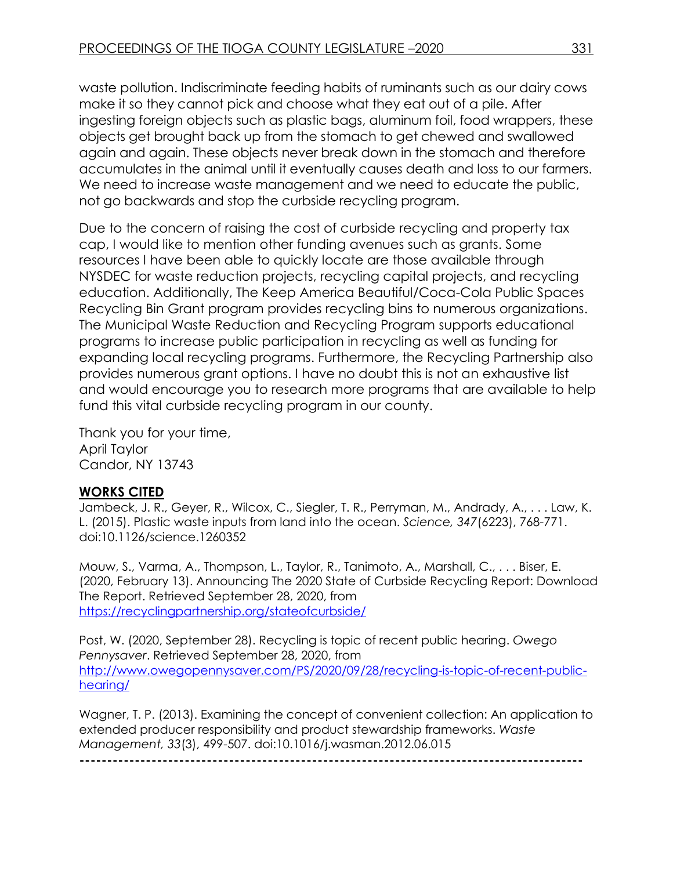waste pollution. Indiscriminate feeding habits of ruminants such as our dairy cows make it so they cannot pick and choose what they eat out of a pile. After ingesting foreign objects such as plastic bags, aluminum foil, food wrappers, these objects get brought back up from the stomach to get chewed and swallowed again and again. These objects never break down in the stomach and therefore accumulates in the animal until it eventually causes death and loss to our farmers. We need to increase waste management and we need to educate the public, not go backwards and stop the curbside recycling program.

Due to the concern of raising the cost of curbside recycling and property tax cap, I would like to mention other funding avenues such as grants. Some resources I have been able to quickly locate are those available through NYSDEC for waste reduction projects, recycling capital projects, and recycling education. Additionally, The Keep America Beautiful/Coca-Cola Public Spaces Recycling Bin Grant program provides recycling bins to numerous organizations. The Municipal Waste Reduction and Recycling Program supports educational programs to increase public participation in recycling as well as funding for expanding local recycling programs. Furthermore, the Recycling Partnership also provides numerous grant options. I have no doubt this is not an exhaustive list and would encourage you to research more programs that are available to help fund this vital curbside recycling program in our county.

Thank you for your time, April Taylor Candor, NY 13743

# **WORKS CITED**

Jambeck, J. R., Geyer, R., Wilcox, C., Siegler, T. R., Perryman, M., Andrady, A., . . . Law, K. L. (2015). Plastic waste inputs from land into the ocean. *Science, 347*(6223), 768-771. doi:10.1126/science.1260352

Mouw, S., Varma, A., Thompson, L., Taylor, R., Tanimoto, A., Marshall, C., . . . Biser, E. (2020, February 13). Announcing The 2020 State of Curbside Recycling Report: Download The Report. Retrieved September 28, 2020, from <https://recyclingpartnership.org/stateofcurbside/>

Post, W. (2020, September 28). Recycling is topic of recent public hearing. *Owego Pennysaver*. Retrieved September 28, 2020, from [http://www.owegopennysaver.com/PS/2020/09/28/recycling-is-topic-of-recent-public](http://www.owegopennysaver.com/PS/2020/09/28/recycling-is-topic-of-recent-public-hearing/)[hearing/](http://www.owegopennysaver.com/PS/2020/09/28/recycling-is-topic-of-recent-public-hearing/)

Wagner, T. P. (2013). Examining the concept of convenient collection: An application to extended producer responsibility and product stewardship frameworks. *Waste Management, 33*(3), 499-507. doi:10.1016/j.wasman.2012.06.015

**-------------------------------------------------------------------------------------------**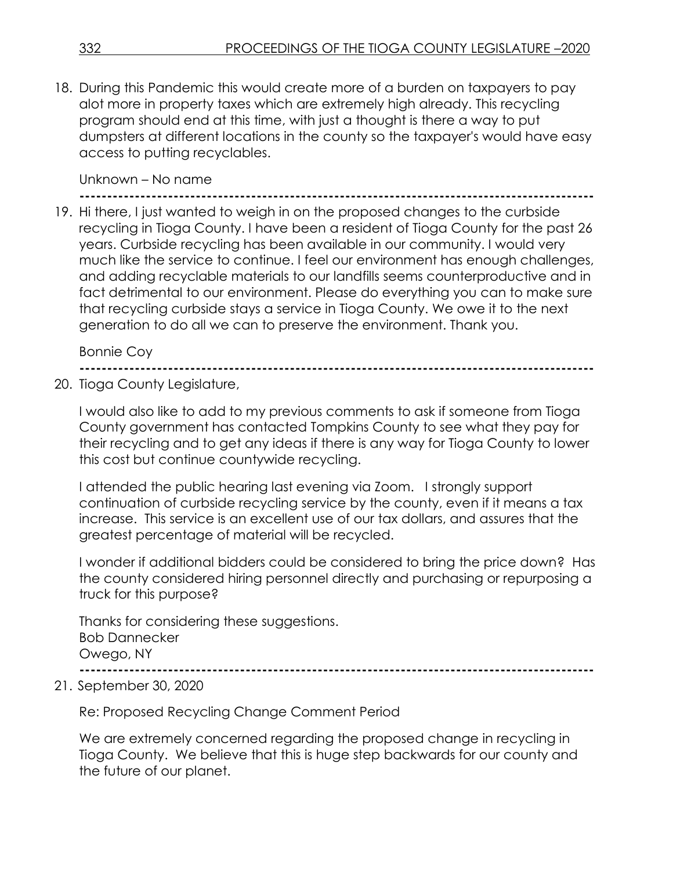18. During this Pandemic this would create more of a burden on taxpayers to pay alot more in property taxes which are extremely high already. This recycling program should end at this time, with just a thought is there a way to put dumpsters at different locations in the county so the taxpayer's would have easy access to putting recyclables.

## Unknown – No name

**---------------------------------------------------------------------------------------------** 19. Hi there, I just wanted to weigh in on the proposed changes to the curbside recycling in Tioga County. I have been a resident of Tioga County for the past 26 years. Curbside recycling has been available in our community. I would very much like the service to continue. I feel our environment has enough challenges, and adding recyclable materials to our landfills seems counterproductive and in fact detrimental to our environment. Please do everything you can to make sure that recycling curbside stays a service in Tioga County. We owe it to the next generation to do all we can to preserve the environment. Thank you.

Bonnie Coy

**---------------------------------------------------------------------------------------------**

20. Tioga County Legislature,

I would also like to add to my previous comments to ask if someone from Tioga County government has contacted Tompkins County to see what they pay for their recycling and to get any ideas if there is any way for Tioga County to lower this cost but continue countywide recycling.

I attended the public hearing last evening via Zoom. I strongly support continuation of curbside recycling service by the county, even if it means a tax increase. This service is an excellent use of our tax dollars, and assures that the greatest percentage of material will be recycled.

I wonder if additional bidders could be considered to bring the price down? Has the county considered hiring personnel directly and purchasing or repurposing a truck for this purpose?

Thanks for considering these suggestions. Bob Dannecker Owego, NY

**---------------------------------------------------------------------------------------------**

21. September 30, 2020

Re: Proposed Recycling Change Comment Period

We are extremely concerned regarding the proposed change in recycling in Tioga County. We believe that this is huge step backwards for our county and the future of our planet.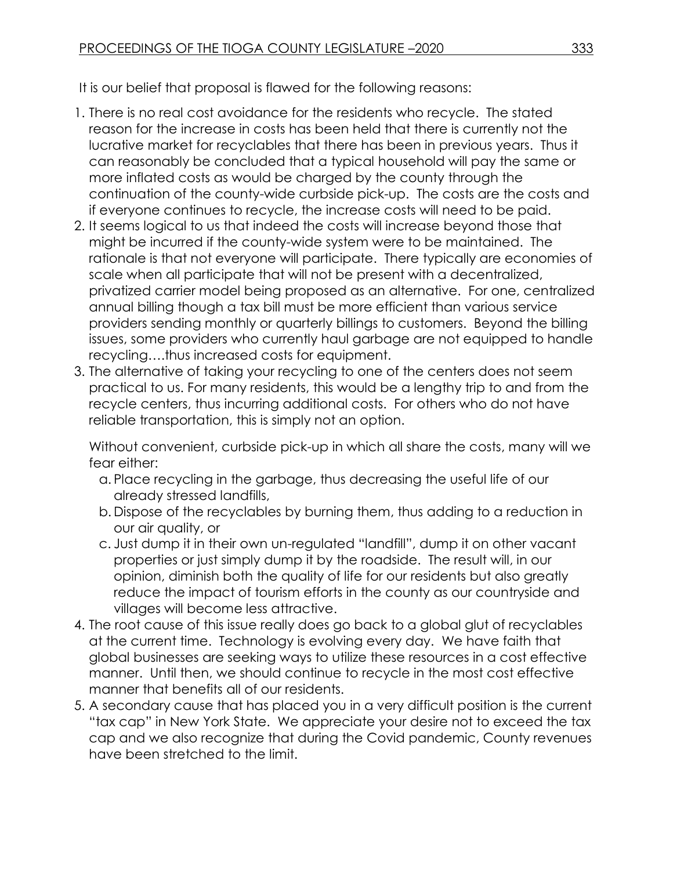It is our belief that proposal is flawed for the following reasons:

- 1. There is no real cost avoidance for the residents who recycle. The stated reason for the increase in costs has been held that there is currently not the lucrative market for recyclables that there has been in previous years. Thus it can reasonably be concluded that a typical household will pay the same or more inflated costs as would be charged by the county through the continuation of the county-wide curbside pick-up. The costs are the costs and if everyone continues to recycle, the increase costs will need to be paid.
- 2. It seems logical to us that indeed the costs will increase beyond those that might be incurred if the county-wide system were to be maintained. The rationale is that not everyone will participate. There typically are economies of scale when all participate that will not be present with a decentralized, privatized carrier model being proposed as an alternative. For one, centralized annual billing though a tax bill must be more efficient than various service providers sending monthly or quarterly billings to customers. Beyond the billing issues, some providers who currently haul garbage are not equipped to handle recycling….thus increased costs for equipment.
- 3. The alternative of taking your recycling to one of the centers does not seem practical to us. For many residents, this would be a lengthy trip to and from the recycle centers, thus incurring additional costs. For others who do not have reliable transportation, this is simply not an option.

Without convenient, curbside pick-up in which all share the costs, many will we fear either:

- a. Place recycling in the garbage, thus decreasing the useful life of our already stressed landfills,
- b. Dispose of the recyclables by burning them, thus adding to a reduction in our air quality, or
- c. Just dump it in their own un-regulated "landfill", dump it on other vacant properties or just simply dump it by the roadside. The result will, in our opinion, diminish both the quality of life for our residents but also greatly reduce the impact of tourism efforts in the county as our countryside and villages will become less attractive.
- 4. The root cause of this issue really does go back to a global glut of recyclables at the current time. Technology is evolving every day. We have faith that global businesses are seeking ways to utilize these resources in a cost effective manner. Until then, we should continue to recycle in the most cost effective manner that benefits all of our residents.
- 5. A secondary cause that has placed you in a very difficult position is the current "tax cap" in New York State. We appreciate your desire not to exceed the tax cap and we also recognize that during the Covid pandemic, County revenues have been stretched to the limit.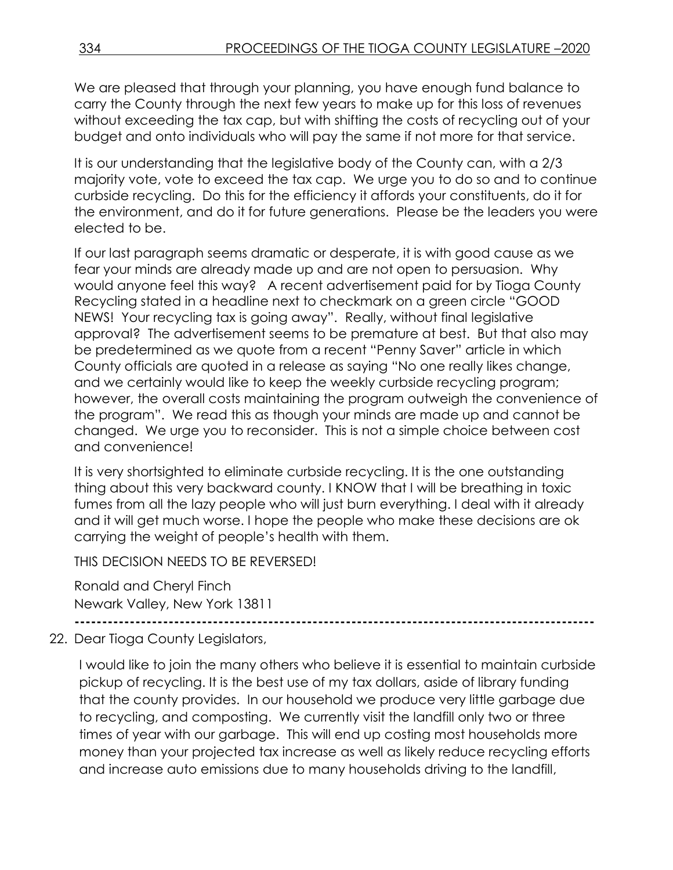We are pleased that through your planning, you have enough fund balance to carry the County through the next few years to make up for this loss of revenues without exceeding the tax cap, but with shifting the costs of recycling out of your budget and onto individuals who will pay the same if not more for that service.

It is our understanding that the legislative body of the County can, with a 2/3 majority vote, vote to exceed the tax cap. We urge you to do so and to continue curbside recycling. Do this for the efficiency it affords your constituents, do it for the environment, and do it for future generations. Please be the leaders you were elected to be.

If our last paragraph seems dramatic or desperate, it is with good cause as we fear your minds are already made up and are not open to persuasion. Why would anyone feel this way? A recent advertisement paid for by Tioga County Recycling stated in a headline next to checkmark on a green circle "GOOD NEWS! Your recycling tax is going away". Really, without final legislative approval? The advertisement seems to be premature at best. But that also may be predetermined as we quote from a recent "Penny Saver" article in which County officials are quoted in a release as saying "No one really likes change, and we certainly would like to keep the weekly curbside recycling program; however, the overall costs maintaining the program outweigh the convenience of the program". We read this as though your minds are made up and cannot be changed. We urge you to reconsider. This is not a simple choice between cost and convenience!

It is very shortsighted to eliminate curbside recycling. It is the one outstanding thing about this very backward county. I KNOW that I will be breathing in toxic fumes from all the lazy people who will just burn everything. I deal with it already and it will get much worse. I hope the people who make these decisions are ok carrying the weight of people's health with them.

THIS DECISION NEEDS TO BE REVERSED!

Ronald and Cheryl Finch Newark Valley, New York 13811

**----------------------------------------------------------------------------------------------**

22. Dear Tioga County Legislators,

I would like to join the many others who believe it is essential to maintain curbside pickup of recycling. It is the best use of my tax dollars, aside of library funding that the county provides. In our household we produce very little garbage due to recycling, and composting. We currently visit the landfill only two or three times of year with our garbage. This will end up costing most households more money than your projected tax increase as well as likely reduce recycling efforts and increase auto emissions due to many households driving to the landfill,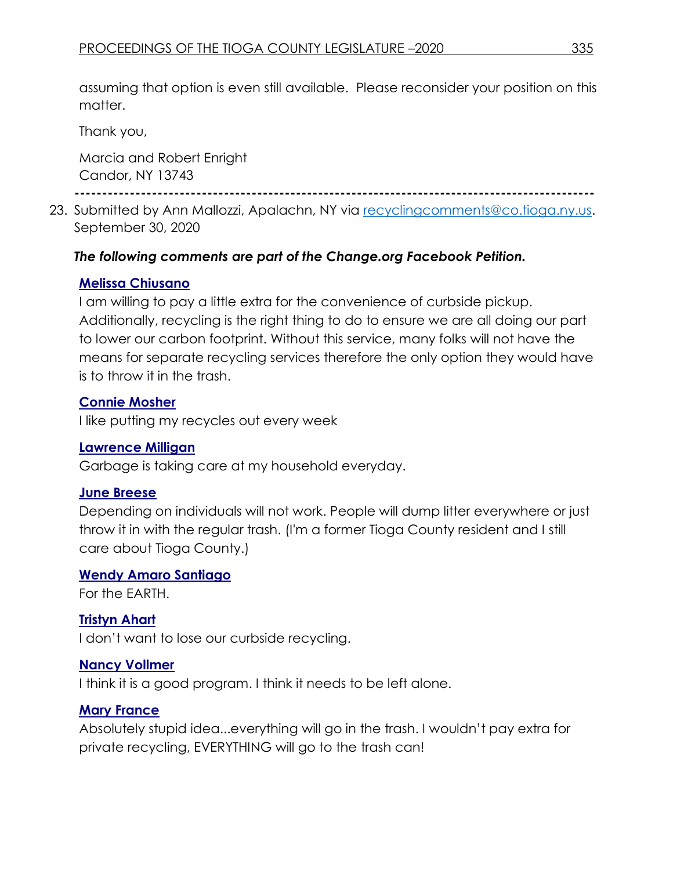assuming that option is even still available. Please reconsider your position on this matter.

Thank you,

Marcia and Robert Enright Candor, NY 13743

**----------------------------------------------------------------------------------------------**

23. Submitted by Ann Mallozzi, Apalachn, NY via [recyclingcomments@co.tioga.ny.us.](mailto:recyclingcomments@co.tioga.ny.us) September 30, 2020

# *The following comments are part of the Change.org Facebook Petition.*

# **Melissa Chiusano**

I am willing to pay a little extra for the convenience of curbside pickup. Additionally, recycling is the right thing to do to ensure we are all doing our part to lower our carbon footprint. Without this service, many folks will not have the means for separate recycling services therefore the only option they would have is to throw it in the trash.

# **Connie Mosher**

I like putting my recycles out every week

## **Lawrence Milligan**

Garbage is taking care at my household everyday.

## **June Breese**

Depending on individuals will not work. People will dump litter everywhere or just throw it in with the regular trash. (I'm a former Tioga County resident and I still care about Tioga County.)

# **Wendy Amaro Santiago**

For the EARTH.

# **Tristyn Ahart**

I don't want to lose our curbside recycling.

# **Nancy Vollmer**

I think it is a good program. I think it needs to be left alone.

# **Mary France**

Absolutely stupid idea...everything will go in the trash. I wouldn't pay extra for private recycling, EVERYTHING will go to the trash can!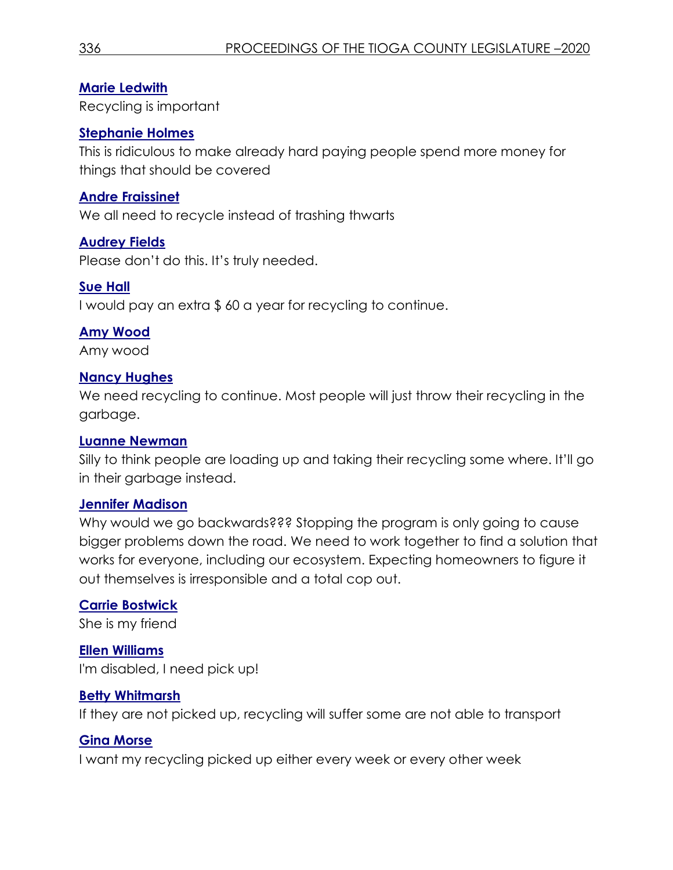## **Marie Ledwith**

Recycling is important

## **Stephanie Holmes**

This is ridiculous to make already hard paying people spend more money for things that should be covered

## **Andre Fraissinet**

We all need to recycle instead of trashing thwarts

## **Audrey Fields**

Please don't do this. It's truly needed.

## **Sue Hall**

I would pay an extra \$ 60 a year for recycling to continue.

# **Amy Wood**

Amy wood

# **Nancy Hughes**

We need recycling to continue. Most people will just throw their recycling in the garbage.

## **Luanne Newman**

Silly to think people are loading up and taking their recycling some where. It'll go in their garbage instead.

## **Jennifer Madison**

Why would we go backwards??? Stopping the program is only going to cause bigger problems down the road. We need to work together to find a solution that works for everyone, including our ecosystem. Expecting homeowners to figure it out themselves is irresponsible and a total cop out.

# **Carrie Bostwick**

She is my friend

**Ellen Williams** I'm disabled, I need pick up!

## **Betty Whitmarsh**

If they are not picked up, recycling will suffer some are not able to transport

# **Gina Morse**

I want my recycling picked up either every week or every other week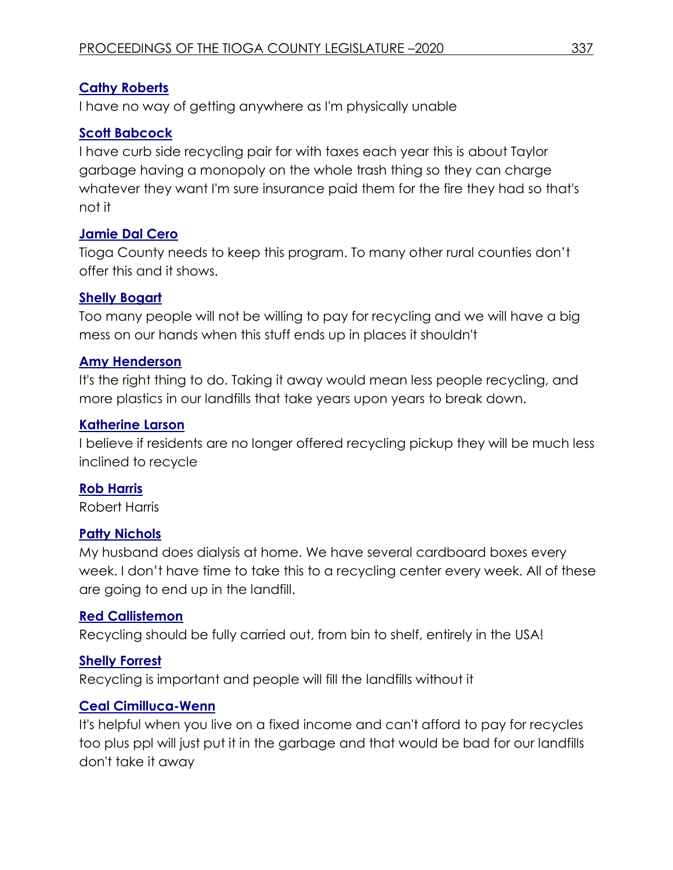# **Cathy Roberts**

I have no way of getting anywhere as I'm physically unable

# **Scott Babcock**

I have curb side recycling pair for with taxes each year this is about Taylor garbage having a monopoly on the whole trash thing so they can charge whatever they want I'm sure insurance paid them for the fire they had so that's not it

## **Jamie Dal Cero**

Tioga County needs to keep this program. To many other rural counties don't offer this and it shows.

## **Shelly Bogart**

Too many people will not be willing to pay for recycling and we will have a big mess on our hands when this stuff ends up in places it shouldn't

## **Amy Henderson**

It's the right thing to do. Taking it away would mean less people recycling, and more plastics in our landfills that take years upon years to break down.

## **Katherine Larson**

I believe if residents are no longer offered recycling pickup they will be much less inclined to recycle

## **Rob Harris**

Robert Harris

## **Patty Nichols**

My husband does dialysis at home. We have several cardboard boxes every week. I don't have time to take this to a recycling center every week. All of these are going to end up in the landfill.

## **Red Callistemon**

Recycling should be fully carried out, from bin to shelf, entirely in the USA!

# **Shelly Forrest**

Recycling is important and people will fill the landfills without it

# **Ceal Cimilluca-Wenn**

It's helpful when you live on a fixed income and can't afford to pay for recycles too plus ppl will just put it in the garbage and that would be bad for our landfills don't take it away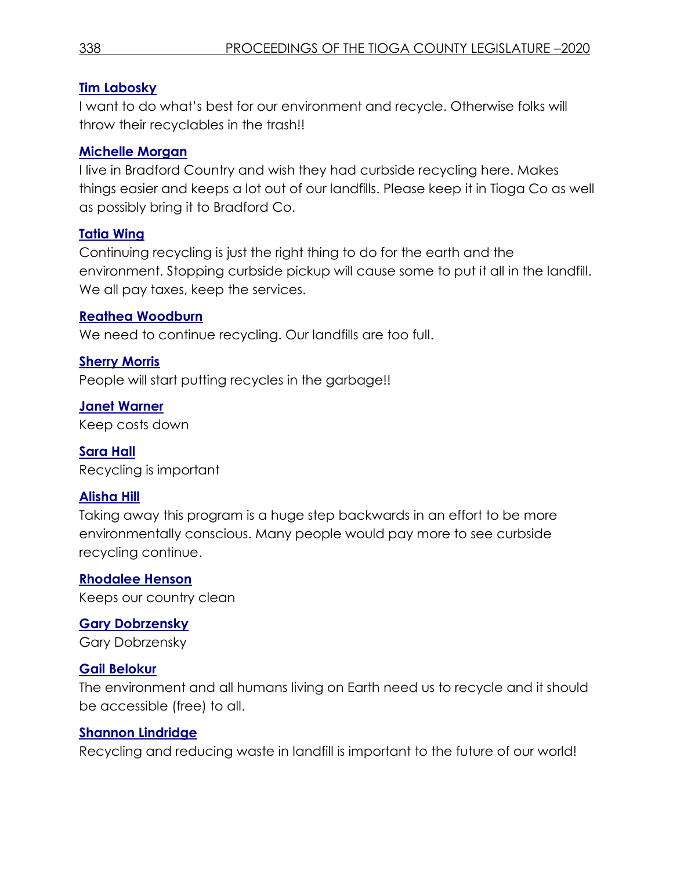# **Tim Labosky**

I want to do what's best for our environment and recycle. Otherwise folks will throw their recyclables in the trash!!

# **Michelle Morgan**

I live in Bradford Country and wish they had curbside recycling here. Makes things easier and keeps a lot out of our landfills. Please keep it in Tioga Co as well as possibly bring it to Bradford Co.

# **Tatia Wing**

Continuing recycling is just the right thing to do for the earth and the environment. Stopping curbside pickup will cause some to put it all in the landfill. We all pay taxes, keep the services.

# **Reathea Woodburn**

We need to continue recycling. Our landfills are too full.

# **Sherry Morris**

People will start putting recycles in the garbage!!

**Janet Warner** Keep costs down

**Sara Hall** Recycling is important

# **Alisha Hill**

Taking away this program is a huge step backwards in an effort to be more environmentally conscious. Many people would pay more to see curbside recycling continue.

# **Rhodalee Henson**

Keeps our country clean

# **Gary Dobrzensky**

Gary Dobrzensky

# **Gail Belokur**

The environment and all humans living on Earth need us to recycle and it should be accessible (free) to all.

# **Shannon Lindridge**

Recycling and reducing waste in landfill is important to the future of our world!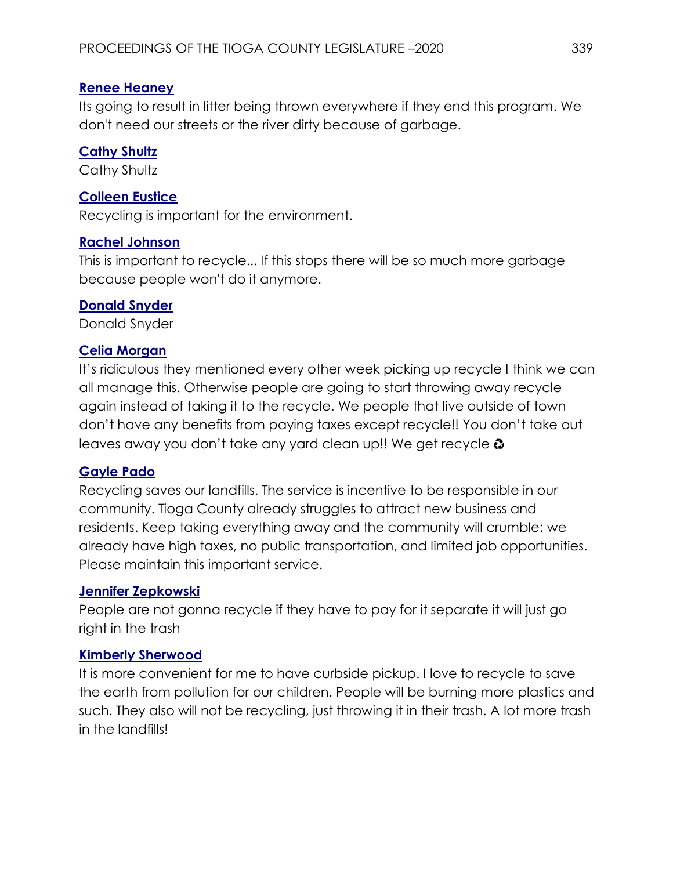## **Renee Heaney**

Its going to result in litter being thrown everywhere if they end this program. We don't need our streets or the river dirty because of garbage.

## **Cathy Shultz**

Cathy Shultz

## **Colleen Eustice**

Recycling is important for the environment.

## **Rachel Johnson**

This is important to recycle... If this stops there will be so much more garbage because people won't do it anymore.

## **Donald Snyder**

Donald Snyder

## **Celia Morgan**

It's ridiculous they mentioned every other week picking up recycle I think we can all manage this. Otherwise people are going to start throwing away recycle again instead of taking it to the recycle. We people that live outside of town don't have any benefits from paying taxes except recycle!! You don't take out leaves away you don't take any yard clean up!! We get recycle  $\odot$ 

## **Gayle Pado**

Recycling saves our landfills. The service is incentive to be responsible in our community. Tioga County already struggles to attract new business and residents. Keep taking everything away and the community will crumble; we already have high taxes, no public transportation, and limited job opportunities. Please maintain this important service.

## **Jennifer Zepkowski**

People are not gonna recycle if they have to pay for it separate it will just go right in the trash

## **Kimberly Sherwood**

It is more convenient for me to have curbside pickup. I love to recycle to save the earth from pollution for our children. People will be burning more plastics and such. They also will not be recycling, just throwing it in their trash. A lot more trash in the landfills!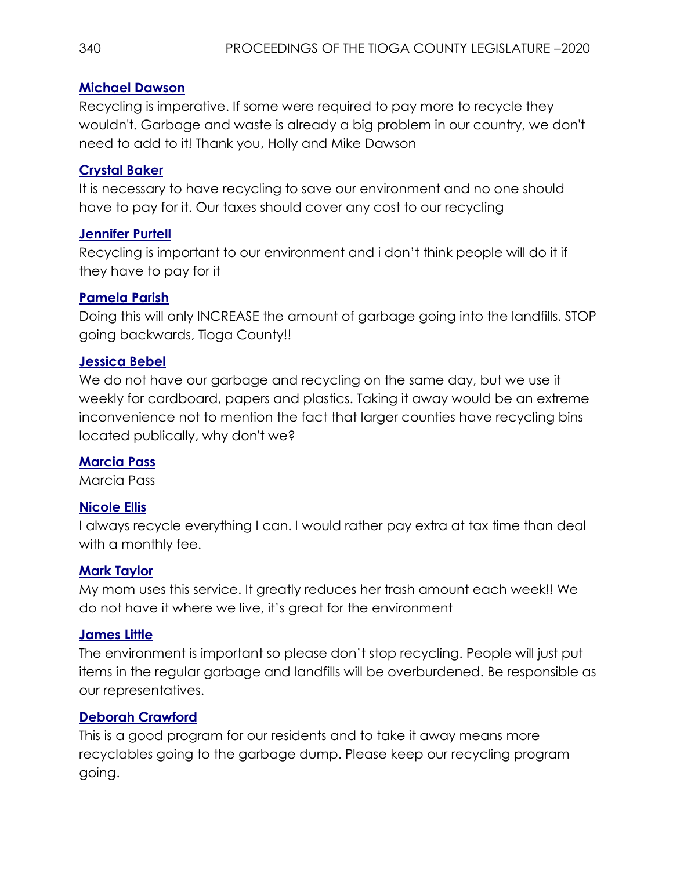## **Michael Dawson**

Recycling is imperative. If some were required to pay more to recycle they wouldn't. Garbage and waste is already a big problem in our country, we don't need to add to it! Thank you, Holly and Mike Dawson

# **Crystal Baker**

It is necessary to have recycling to save our environment and no one should have to pay for it. Our taxes should cover any cost to our recycling

# **Jennifer Purtell**

Recycling is important to our environment and i don't think people will do it if they have to pay for it

# **Pamela Parish**

Doing this will only INCREASE the amount of garbage going into the landfills. STOP going backwards, Tioga County!!

## **Jessica Bebel**

We do not have our garbage and recycling on the same day, but we use it weekly for cardboard, papers and plastics. Taking it away would be an extreme inconvenience not to mention the fact that larger counties have recycling bins located publically, why don't we?

# **Marcia Pass**

Marcia Pass

# **Nicole Ellis**

I always recycle everything I can. I would rather pay extra at tax time than deal with a monthly fee.

## **Mark Taylor**

My mom uses this service. It greatly reduces her trash amount each week!! We do not have it where we live, it's great for the environment

## **James Little**

The environment is important so please don't stop recycling. People will just put items in the regular garbage and landfills will be overburdened. Be responsible as our representatives.

# **Deborah Crawford**

This is a good program for our residents and to take it away means more recyclables going to the garbage dump. Please keep our recycling program going.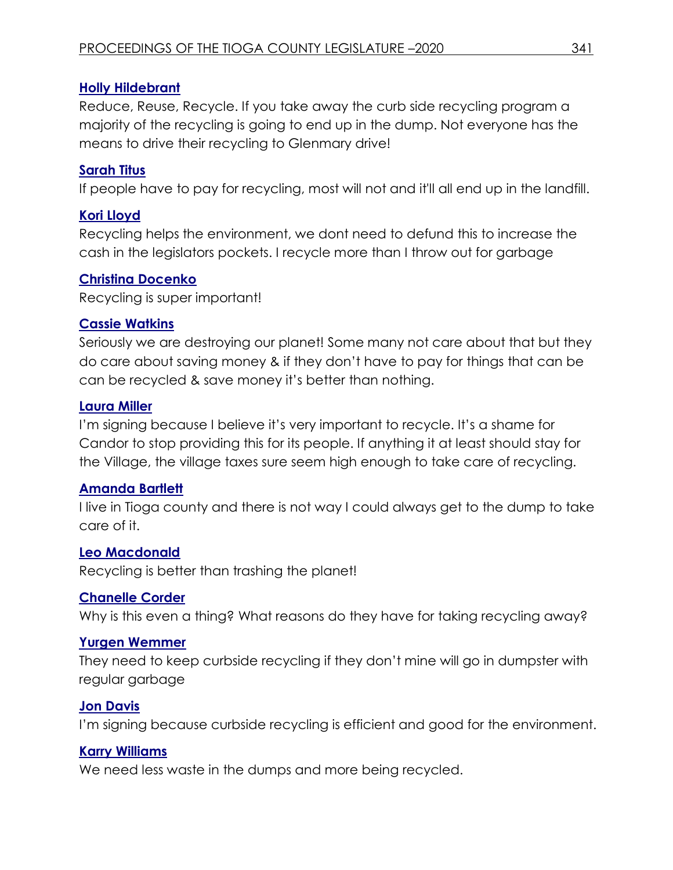## **Holly Hildebrant**

Reduce, Reuse, Recycle. If you take away the curb side recycling program a majority of the recycling is going to end up in the dump. Not everyone has the means to drive their recycling to Glenmary drive!

# **Sarah Titus**

If people have to pay for recycling, most will not and it'll all end up in the landfill.

## **Kori Lloyd**

Recycling helps the environment, we dont need to defund this to increase the cash in the legislators pockets. I recycle more than I throw out for garbage

## **Christina Docenko**

Recycling is super important!

## **Cassie Watkins**

Seriously we are destroying our planet! Some many not care about that but they do care about saving money & if they don't have to pay for things that can be can be recycled & save money it's better than nothing.

## **Laura Miller**

I'm signing because I believe it's very important to recycle. It's a shame for Candor to stop providing this for its people. If anything it at least should stay for the Village, the village taxes sure seem high enough to take care of recycling.

## **Amanda Bartlett**

I live in Tioga county and there is not way I could always get to the dump to take care of it.

## **Leo Macdonald**

Recycling is better than trashing the planet!

## **Chanelle Corder**

Why is this even a thing? What reasons do they have for taking recycling away?

## **Yurgen Wemmer**

They need to keep curbside recycling if they don't mine will go in dumpster with regular garbage

## **Jon Davis**

I'm signing because curbside recycling is efficient and good for the environment.

## **Karry Williams**

We need less waste in the dumps and more being recycled.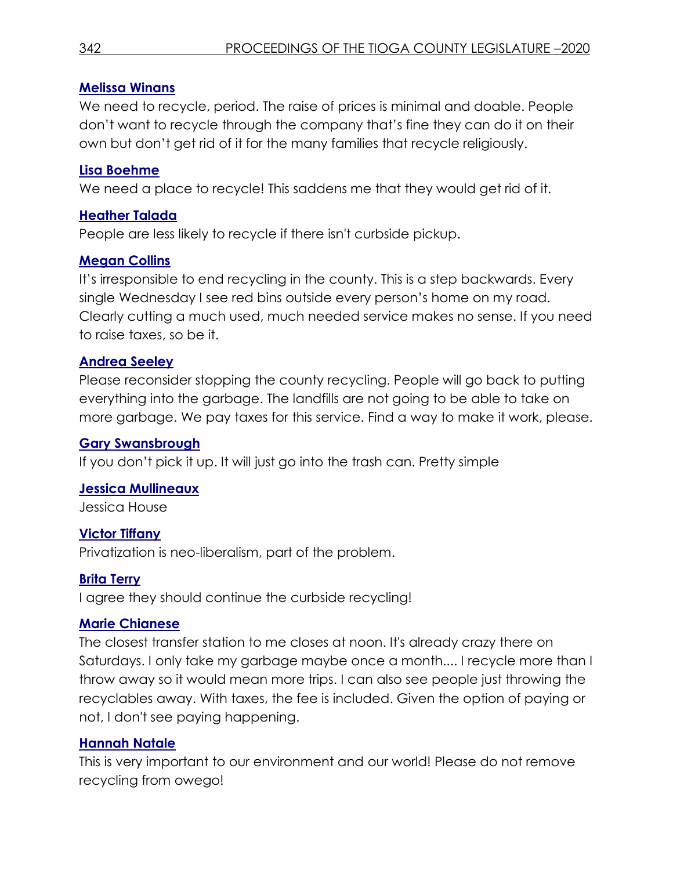## **Melissa Winans**

We need to recycle, period. The raise of prices is minimal and doable. People don't want to recycle through the company that's fine they can do it on their own but don't get rid of it for the many families that recycle religiously.

## **Lisa Boehme**

We need a place to recycle! This saddens me that they would get rid of it.

## **Heather Talada**

People are less likely to recycle if there isn't curbside pickup.

## **Megan Collins**

It's irresponsible to end recycling in the county. This is a step backwards. Every single Wednesday I see red bins outside every person's home on my road. Clearly cutting a much used, much needed service makes no sense. If you need to raise taxes, so be it.

# **Andrea Seeley**

Please reconsider stopping the county recycling. People will go back to putting everything into the garbage. The landfills are not going to be able to take on more garbage. We pay taxes for this service. Find a way to make it work, please.

# **Gary Swansbrough**

If you don't pick it up. It will just go into the trash can. Pretty simple

## **Jessica Mullineaux**

Jessica House

# **Victor Tiffany**

Privatization is neo-liberalism, part of the problem.

# **Brita Terry**

I agree they should continue the curbside recycling!

## **Marie Chianese**

The closest transfer station to me closes at noon. It's already crazy there on Saturdays. I only take my garbage maybe once a month.... I recycle more than I throw away so it would mean more trips. I can also see people just throwing the recyclables away. With taxes, the fee is included. Given the option of paying or not, I don't see paying happening.

## **Hannah Natale**

This is very important to our environment and our world! Please do not remove recycling from owego!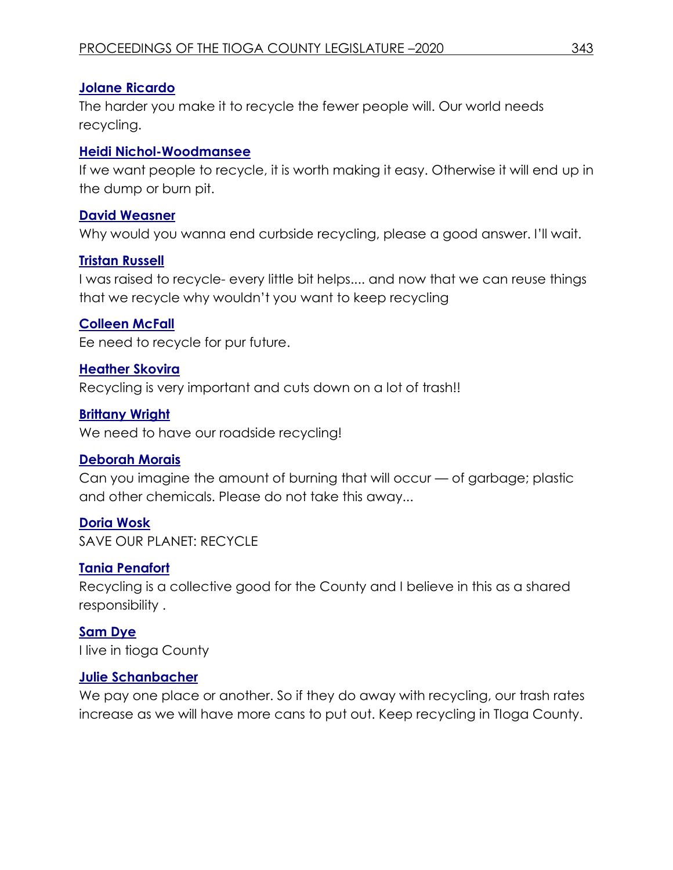# **Jolane Ricardo**

The harder you make it to recycle the fewer people will. Our world needs recycling.

## **Heidi Nichol-Woodmansee**

If we want people to recycle, it is worth making it easy. Otherwise it will end up in the dump or burn pit.

## **David Weasner**

Why would you wanna end curbside recycling, please a good answer. I'll wait.

# **Tristan Russell**

I was raised to recycle- every little bit helps.... and now that we can reuse things that we recycle why wouldn't you want to keep recycling

# **Colleen McFall**

Ee need to recycle for pur future.

# **Heather Skovira**

Recycling is very important and cuts down on a lot of trash!!

# **Brittany Wright**

We need to have our roadside recycling!

# **Deborah Morais**

Can you imagine the amount of burning that will occur — of garbage; plastic and other chemicals. Please do not take this away...

# **Doria Wosk**

SAVE OUR PLANET: RECYCLE

# **Tania Penafort**

Recycling is a collective good for the County and I believe in this as a shared responsibility .

#### **[Sam Dye](https://www.change.org/u/327265840)** I live in tioga County

# **Julie Schanbacher**

We pay one place or another. So if they do away with recycling, our trash rates increase as we will have more cans to put out. Keep recycling in TIoga County.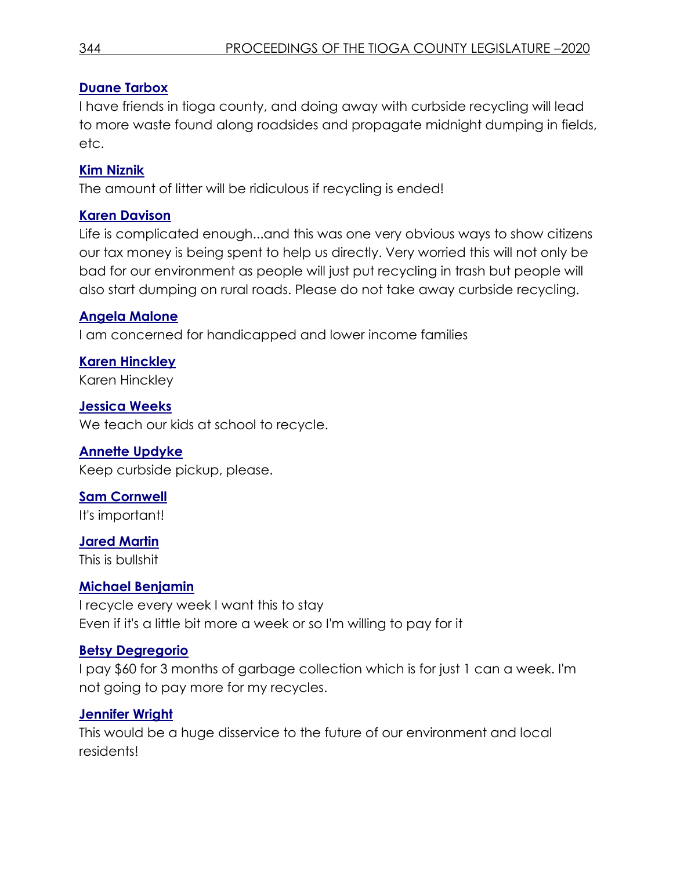# **Duane Tarbox**

I have friends in tioga county, and doing away with curbside recycling will lead to more waste found along roadsides and propagate midnight dumping in fields, etc.

# **Kim Niznik**

The amount of litter will be ridiculous if recycling is ended!

# **Karen Davison**

Life is complicated enough...and this was one very obvious ways to show citizens our tax money is being spent to help us directly. Very worried this will not only be bad for our environment as people will just put recycling in trash but people will also start dumping on rural roads. Please do not take away curbside recycling.

## **Angela Malone**

I am concerned for handicapped and lower income families

**Karen Hinckley** Karen Hinckley

**Jessica Weeks** We teach our kids at school to recycle.

# **Annette Updyke**

Keep curbside pickup, please.

**Sam Cornwell** It's important!

**Jared Martin** This is bullshit

# **Michael Benjamin**

I recycle every week I want this to stay Even if it's a little bit more a week or so I'm willing to pay for it

# **Betsy Degregorio**

I pay \$60 for 3 months of garbage collection which is for just 1 can a week. I'm not going to pay more for my recycles.

# **Jennifer Wright**

This would be a huge disservice to the future of our environment and local residents!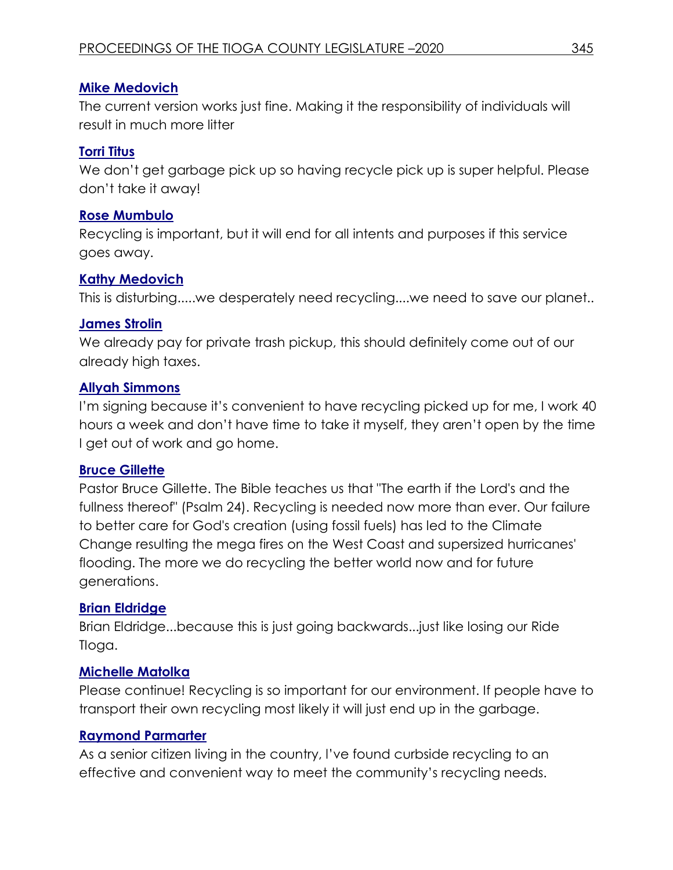## **Mike Medovich**

The current version works just fine. Making it the responsibility of individuals will result in much more litter

## **Torri Titus**

We don't get garbage pick up so having recycle pick up is super helpful. Please don't take it away!

## **Rose Mumbulo**

Recycling is important, but it will end for all intents and purposes if this service goes away.

# **Kathy Medovich**

This is disturbing.....we desperately need recycling....we need to save our planet..

## **James Strolin**

We already pay for private trash pickup, this should definitely come out of our already high taxes.

## **Allyah Simmons**

I'm signing because it's convenient to have recycling picked up for me, I work 40 hours a week and don't have time to take it myself, they aren't open by the time I get out of work and go home.

## **Bruce Gillette**

Pastor Bruce Gillette. The Bible teaches us that "The earth if the Lord's and the fullness thereof" (Psalm 24). Recycling is needed now more than ever. Our failure to better care for God's creation (using fossil fuels) has led to the Climate Change resulting the mega fires on the West Coast and supersized hurricanes' flooding. The more we do recycling the better world now and for future generations.

# **Brian Eldridge**

Brian Eldridge...because this is just going backwards...just like losing our Ride TIoga.

# **Michelle Matolka**

Please continue! Recycling is so important for our environment. If people have to transport their own recycling most likely it will just end up in the garbage.

## **Raymond Parmarter**

As a senior citizen living in the country, l've found curbside recycling to an effective and convenient way to meet the community's recycling needs.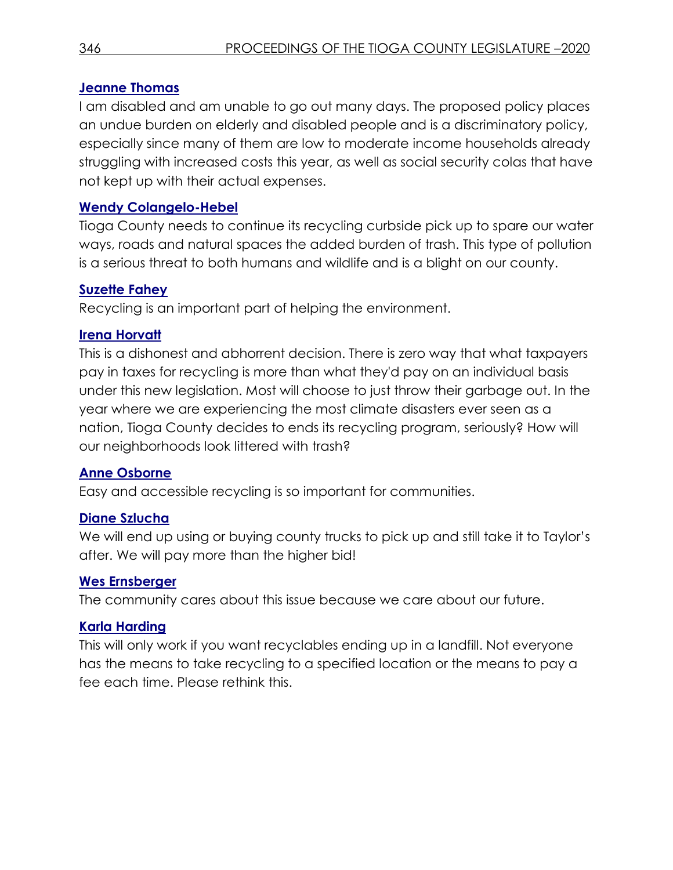## **Jeanne Thomas**

I am disabled and am unable to go out many days. The proposed policy places an undue burden on elderly and disabled people and is a discriminatory policy, especially since many of them are low to moderate income households already struggling with increased costs this year, as well as social security colas that have not kept up with their actual expenses.

## **Wendy Colangelo-Hebel**

Tioga County needs to continue its recycling curbside pick up to spare our water ways, roads and natural spaces the added burden of trash. This type of pollution is a serious threat to both humans and wildlife and is a blight on our county.

## **Suzette Fahey**

Recycling is an important part of helping the environment.

## **Irena Horvatt**

This is a dishonest and abhorrent decision. There is zero way that what taxpayers pay in taxes for recycling is more than what they'd pay on an individual basis under this new legislation. Most will choose to just throw their garbage out. In the year where we are experiencing the most climate disasters ever seen as a nation, Tioga County decides to ends its recycling program, seriously? How will our neighborhoods look littered with trash?

## **Anne Osborne**

Easy and accessible recycling is so important for communities.

## **Diane Szlucha**

We will end up using or buying county trucks to pick up and still take it to Taylor's after. We will pay more than the higher bid!

## **Wes Ernsberger**

The community cares about this issue because we care about our future.

## **Karla Harding**

This will only work if you want recyclables ending up in a landfill. Not everyone has the means to take recycling to a specified location or the means to pay a fee each time. Please rethink this.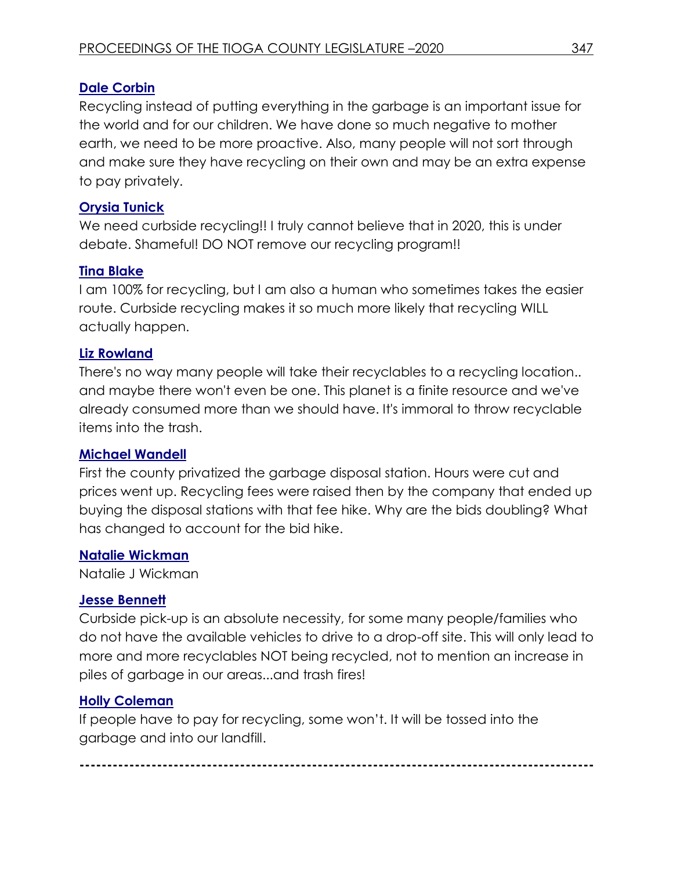# **Dale Corbin**

Recycling instead of putting everything in the garbage is an important issue for the world and for our children. We have done so much negative to mother earth, we need to be more proactive. Also, many people will not sort through and make sure they have recycling on their own and may be an extra expense to pay privately.

# **Orysia Tunick**

We need curbside recycling!! I truly cannot believe that in 2020, this is under debate. Shameful! DO NOT remove our recycling program!!

# **Tina Blake**

I am 100% for recycling, but I am also a human who sometimes takes the easier route. Curbside recycling makes it so much more likely that recycling WILL actually happen.

## **Liz Rowland**

There's no way many people will take their recyclables to a recycling location.. and maybe there won't even be one. This planet is a finite resource and we've already consumed more than we should have. It's immoral to throw recyclable items into the trash.

## **Michael Wandell**

First the county privatized the garbage disposal station. Hours were cut and prices went up. Recycling fees were raised then by the company that ended up buying the disposal stations with that fee hike. Why are the bids doubling? What has changed to account for the bid hike.

## **Natalie Wickman**

Natalie J Wickman

# **Jesse Bennett**

Curbside pick-up is an absolute necessity, for some many people/families who do not have the available vehicles to drive to a drop-off site. This will only lead to more and more recyclables NOT being recycled, not to mention an increase in piles of garbage in our areas...and trash fires!

# **Holly Coleman**

If people have to pay for recycling, some won't. It will be tossed into the garbage and into our landfill.

**---------------------------------------------------------------------------------------------**